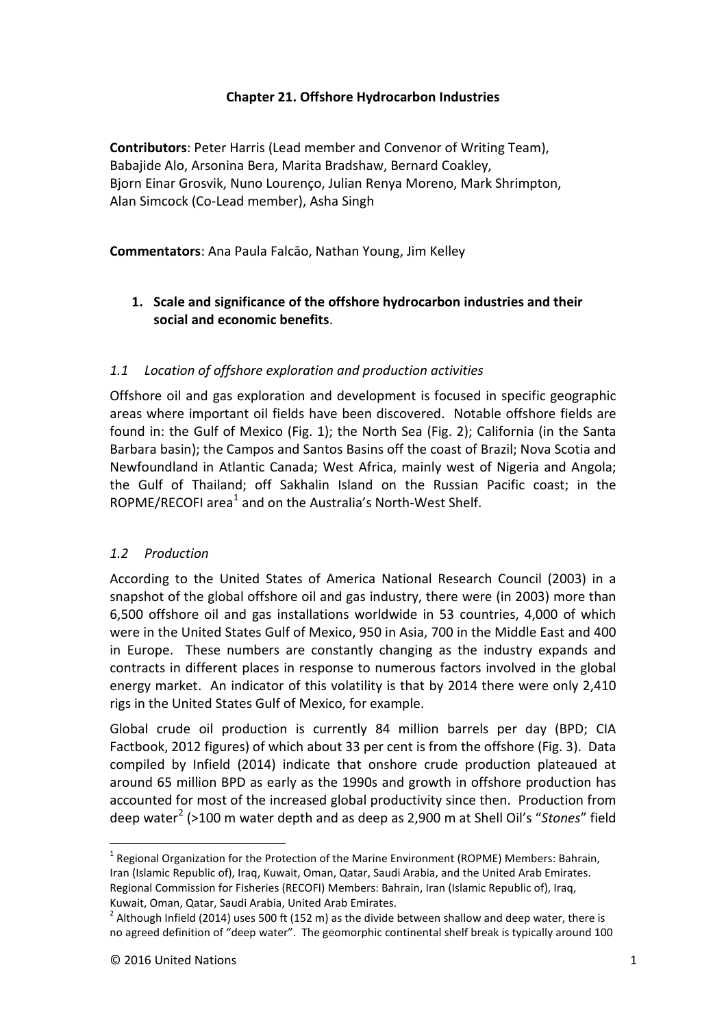#### **Chapter 21. Offshore Hydrocarbon Industries**

**Contributors**: Peter Harris (Lead member and Convenor of Writing Team), Babajide Alo, Arsonina Bera, Marita Bradshaw, Bernard Coakley, Bjorn Einar Grosvik, Nuno Lourenço, Julian Renya Moreno, Mark Shrimpton, Alan Simcock (Co-Lead member), Asha Singh

**Commentators**: Ana Paula Falcāo, Nathan Young, Jim Kelley

## **1. Scale and significance of the offshore hydrocarbon industries and their social and economic benefits**.

### *1.1 Location of offshore exploration and production activities*

Offshore oil and gas exploration and development is focused in specific geographic areas where important oil fields have been discovered. Notable offshore fields are found in: the Gulf of Mexico (Fig. 1); the North Sea (Fig. 2); California (in the Santa Barbara basin); the Campos and Santos Basins off the coast of Brazil; Nova Scotia and Newfoundland in Atlantic Canada; West Africa, mainly west of Nigeria and Angola; the Gulf of Thailand; off Sakhalin Island on the Russian Pacific coast; in the ROPME/RECOFI area<sup>[1](#page-0-0)</sup> and on the Australia's North-West Shelf.

### *1.2 Production*

According to the United States of America National Research Council (2003) in a snapshot of the global offshore oil and gas industry, there were (in 2003) more than 6,500 offshore oil and gas installations worldwide in 53 countries, 4,000 of which were in the United States Gulf of Mexico, 950 in Asia, 700 in the Middle East and 400 in Europe. These numbers are constantly changing as the industry expands and contracts in different places in response to numerous factors involved in the global energy market. An indicator of this volatility is that by 2014 there were only 2,410 rigs in the United States Gulf of Mexico, for example.

Global crude oil production is currently 84 million barrels per day (BPD; CIA Factbook, 2012 figures) of which about 33 per cent is from the offshore (Fig. 3). Data compiled by Infield (2014) indicate that onshore crude production plateaued at around 65 million BPD as early as the 1990s and growth in offshore production has accounted for most of the increased global productivity since then. Production from deep water[2](#page-0-1) (>100 m water depth and as deep as 2,900 m at Shell Oil's "*Stones*" field

 $\overline{a}$ 

<span id="page-0-0"></span> $1$  Regional Organization for the Protection of the Marine Environment (ROPME) Members: Bahrain, Iran (Islamic Republic of), Iraq, Kuwait, Oman, Qatar, Saudi Arabia, and the United Arab Emirates. Regional Commission for Fisheries (RECOFI) Members: Bahrain, Iran (Islamic Republic of), Iraq, Kuwait, Oman, Qatar, Saudi Arabia, United Arab Emirates.

<span id="page-0-1"></span><sup>&</sup>lt;sup>2</sup> Although Infield (2014) uses 500 ft (152 m) as the divide between shallow and deep water, there is no agreed definition of "deep water". The geomorphic continental shelf break is typically around 100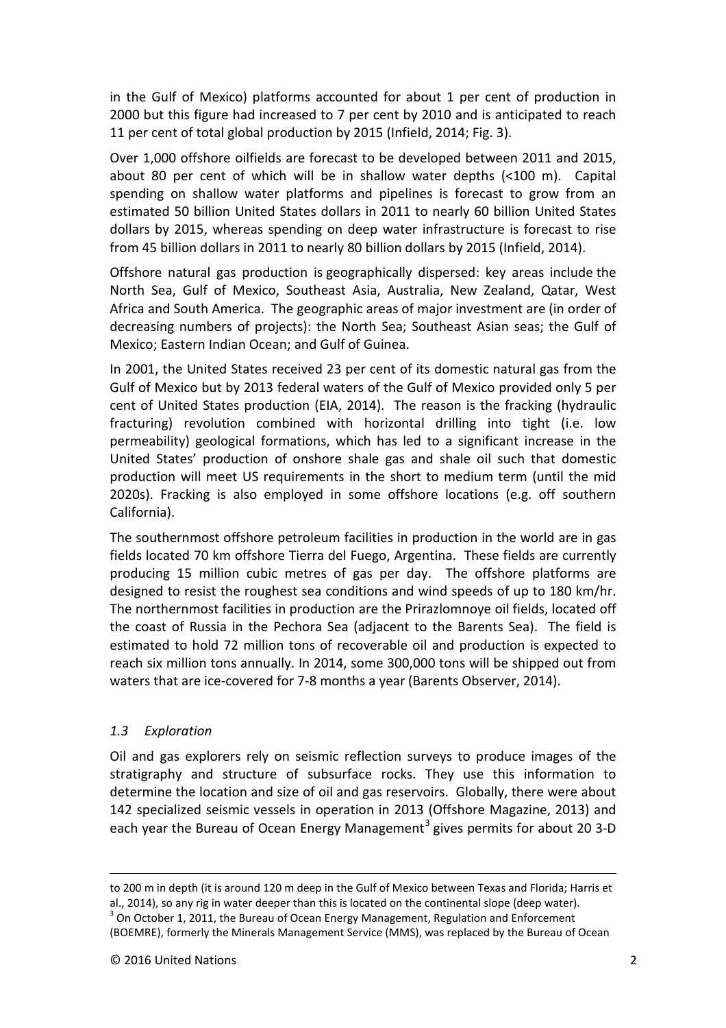in the Gulf of Mexico) platforms accounted for about 1 per cent of production in 2000 but this figure had increased to 7 per cent by 2010 and is anticipated to reach 11 per cent of total global production by 2015 (Infield, 2014; Fig. 3).

Over 1,000 offshore oilfields are forecast to be developed between 2011 and 2015, about 80 per cent of which will be in shallow water depths (<100 m). Capital spending on shallow water platforms and pipelines is forecast to grow from an estimated 50 billion United States dollars in 2011 to nearly 60 billion United States dollars by 2015, whereas spending on deep water infrastructure is forecast to rise from 45 billion dollars in 2011 to nearly 80 billion dollars by 2015 (Infield, 2014).

Offshore natural gas production is geographically dispersed: key areas include the North Sea, Gulf of Mexico, Southeast Asia, Australia, New Zealand, Qatar, West Africa and South America. The geographic areas of major investment are (in order of decreasing numbers of projects): the North Sea; Southeast Asian seas; the Gulf of Mexico; Eastern Indian Ocean; and Gulf of Guinea.

In 2001, the United States received 23 per cent of its domestic natural gas from the Gulf of Mexico but by 2013 federal waters of the Gulf of Mexico provided only 5 per cent of United States production (EIA, 2014). The reason is the fracking (hydraulic fracturing) revolution combined with horizontal drilling into tight (i.e. low permeability) geological formations, which has led to a significant increase in the United States' production of onshore shale gas and shale oil such that domestic production will meet US requirements in the short to medium term (until the mid 2020s). Fracking is also employed in some offshore locations (e.g. off southern California).

The southernmost offshore petroleum facilities in production in the world are in gas fields located 70 km offshore Tierra del Fuego, Argentina. These fields are currently producing 15 million cubic metres of gas per day. The offshore platforms are designed to resist the roughest sea conditions and wind speeds of up to 180 km/hr. The northernmost facilities in production are the Prirazlomnoye oil fields, located off the coast of Russia in the Pechora Sea (adjacent to the Barents Sea). The field is estimated to hold 72 million tons of recoverable oil and production is expected to reach six million tons annually. In 2014, some 300,000 tons will be shipped out from waters that are ice-covered for 7-8 months a year (Barents Observer, 2014).

### *1.3 Exploration*

 $\overline{a}$ 

Oil and gas explorers rely on seismic reflection surveys to produce images of the stratigraphy and structure of subsurface rocks. They use this information to determine the location and size of oil and gas reservoirs. Globally, there were about 142 specialized seismic vessels in operation in 2013 (Offshore Magazine, 2013) and each year the Bureau of Ocean Energy Management<sup>[3](#page-1-0)</sup> gives permits for about 20 3-D

<span id="page-1-0"></span>to 200 m in depth (it is around 120 m deep in the Gulf of Mexico between Texas and Florida; Harris et al., 2014), so any rig in water deeper than this is located on the continental slope (deep water).  $3$  On October 1, 2011, the Bureau of Ocean Energy Management, Regulation and Enforcement (BOEMRE), formerly the Minerals Management Service (MMS), was replaced by the Bureau of Ocean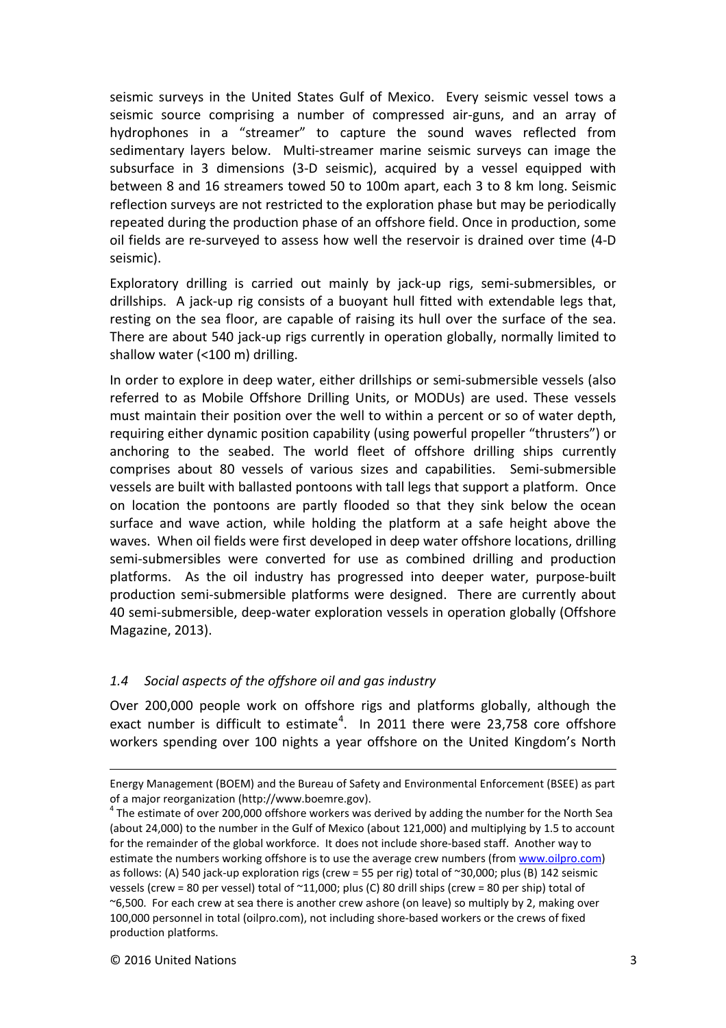seismic surveys in the United States Gulf of Mexico. Every seismic vessel tows a seismic source comprising a number of compressed air-guns, and an array of hydrophones in a "streamer" to capture the sound waves reflected from sedimentary layers below. Multi-streamer marine seismic surveys can image the subsurface in 3 dimensions (3-D seismic), acquired by a vessel equipped with between 8 and 16 streamers towed 50 to 100m apart, each 3 to 8 km long. Seismic reflection surveys are not restricted to the exploration phase but may be periodically repeated during the production phase of an offshore field. Once in production, some oil fields are re-surveyed to assess how well the reservoir is drained over time (4-D seismic).

Exploratory drilling is carried out mainly by jack-up rigs, semi-submersibles, or drillships. A jack-up rig consists of a buoyant hull fitted with extendable legs that, resting on the sea floor, are capable of raising its hull over the surface of the sea. There are about 540 jack-up rigs currently in operation globally, normally limited to shallow water (<100 m) drilling.

In order to explore in deep water, either drillships or semi-submersible vessels (also referred to as Mobile Offshore Drilling Units, or MODUs) are used. These vessels must maintain their position over the well to within a percent or so of water depth, requiring either dynamic position capability (using powerful propeller "thrusters") or anchoring to the seabed. The world fleet of offshore drilling ships currently comprises about 80 vessels of various sizes and capabilities. Semi-submersible vessels are built with ballasted pontoons with tall legs that support a platform. Once on location the pontoons are partly flooded so that they sink below the ocean surface and wave action, while holding the platform at a safe height above the waves. When oil fields were first developed in deep water offshore locations, drilling semi-submersibles were converted for use as combined drilling and production platforms. As the oil industry has progressed into deeper water, purpose-built production semi-submersible platforms were designed. There are currently about 40 semi-submersible, deep-water exploration vessels in operation globally (Offshore Magazine, 2013).

#### *1.4 Social aspects of the offshore oil and gas industry*

Over 200,000 people work on offshore rigs and platforms globally, although the exact number is difficult to estimate<sup>[4](#page-2-0)</sup>. In 2011 there were 23,758 core offshore workers spending over 100 nights a year offshore on the United Kingdom's North

 $\overline{a}$ 

Energy Management (BOEM) and the Bureau of Safety and Environmental Enforcement (BSEE) as part of a major reorganization (http://www.boemre.gov).

<span id="page-2-0"></span> $4$  The estimate of over 200,000 offshore workers was derived by adding the number for the North Sea (about 24,000) to the number in the Gulf of Mexico (about 121,000) and multiplying by 1.5 to account for the remainder of the global workforce. It does not include shore-based staff. Another way to estimate the numbers working offshore is to use the average crew numbers (fro[m www.oilpro.com\)](http://www.oilpro.com/) as follows: (A) 540 jack-up exploration rigs (crew = 55 per rig) total of ~30,000; plus (B) 142 seismic vessels (crew = 80 per vessel) total of ~11,000; plus (C) 80 drill ships (crew = 80 per ship) total of ~6,500. For each crew at sea there is another crew ashore (on leave) so multiply by 2, making over 100,000 personnel in total (oilpro.com), not including shore-based workers or the crews of fixed production platforms.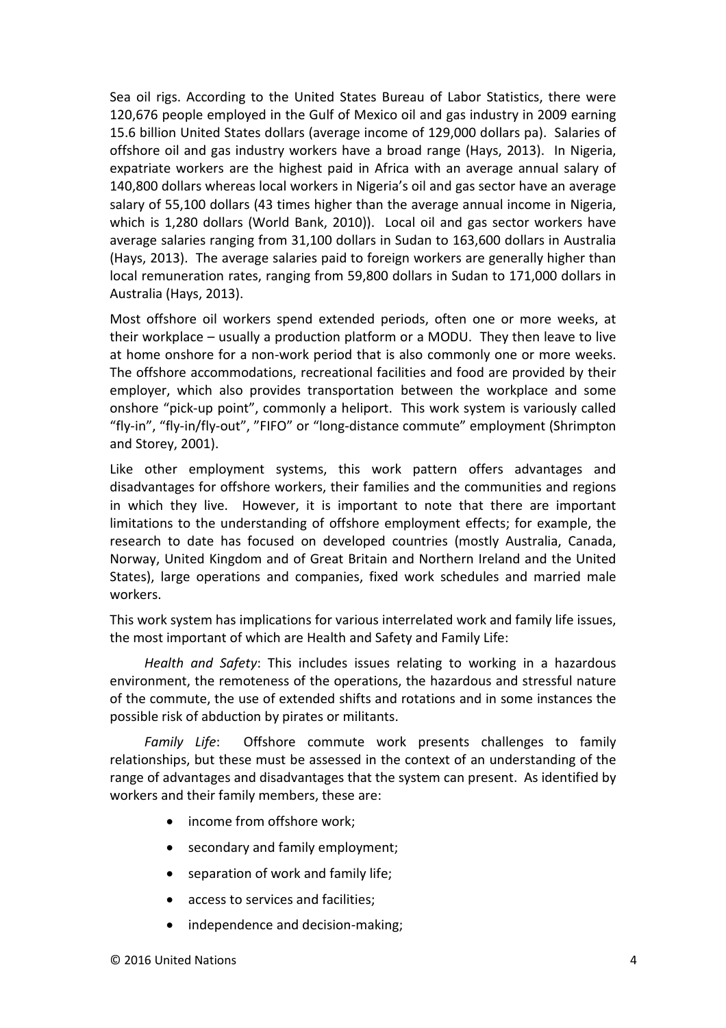Sea oil rigs. According to the United States Bureau of Labor Statistics, there were 120,676 people employed in the Gulf of Mexico oil and gas industry in 2009 earning 15.6 billion United States dollars (average income of 129,000 dollars pa). Salaries of offshore oil and gas industry workers have a broad range (Hays, 2013). In Nigeria, expatriate workers are the highest paid in Africa with an average annual salary of 140,800 dollars whereas local workers in Nigeria's oil and gas sector have an average salary of 55,100 dollars (43 times higher than the average annual income in Nigeria, which is 1,280 dollars (World Bank, 2010)). Local oil and gas sector workers have average salaries ranging from 31,100 dollars in Sudan to 163,600 dollars in Australia (Hays, 2013). The average salaries paid to foreign workers are generally higher than local remuneration rates, ranging from 59,800 dollars in Sudan to 171,000 dollars in Australia (Hays, 2013).

Most offshore oil workers spend extended periods, often one or more weeks, at their workplace – usually a production platform or a MODU. They then leave to live at home onshore for a non-work period that is also commonly one or more weeks. The offshore accommodations, recreational facilities and food are provided by their employer, which also provides transportation between the workplace and some onshore "pick-up point", commonly a heliport. This work system is variously called "fly-in", "fly-in/fly-out", "FIFO" or "long-distance commute" employment (Shrimpton and Storey, 2001).

Like other employment systems, this work pattern offers advantages and disadvantages for offshore workers, their families and the communities and regions in which they live. However, it is important to note that there are important limitations to the understanding of offshore employment effects; for example, the research to date has focused on developed countries (mostly Australia, Canada, Norway, United Kingdom and of Great Britain and Northern Ireland and the United States), large operations and companies, fixed work schedules and married male workers.

This work system has implications for various interrelated work and family life issues, the most important of which are Health and Safety and Family Life:

*Health and Safety*: This includes issues relating to working in a hazardous environment, the remoteness of the operations, the hazardous and stressful nature of the commute, the use of extended shifts and rotations and in some instances the possible risk of abduction by pirates or militants.

*Family Life*: Offshore commute work presents challenges to family relationships, but these must be assessed in the context of an understanding of the range of advantages and disadvantages that the system can present. As identified by workers and their family members, these are:

- income from offshore work;
- secondary and family employment;
- separation of work and family life;
- access to services and facilities;
- independence and decision-making;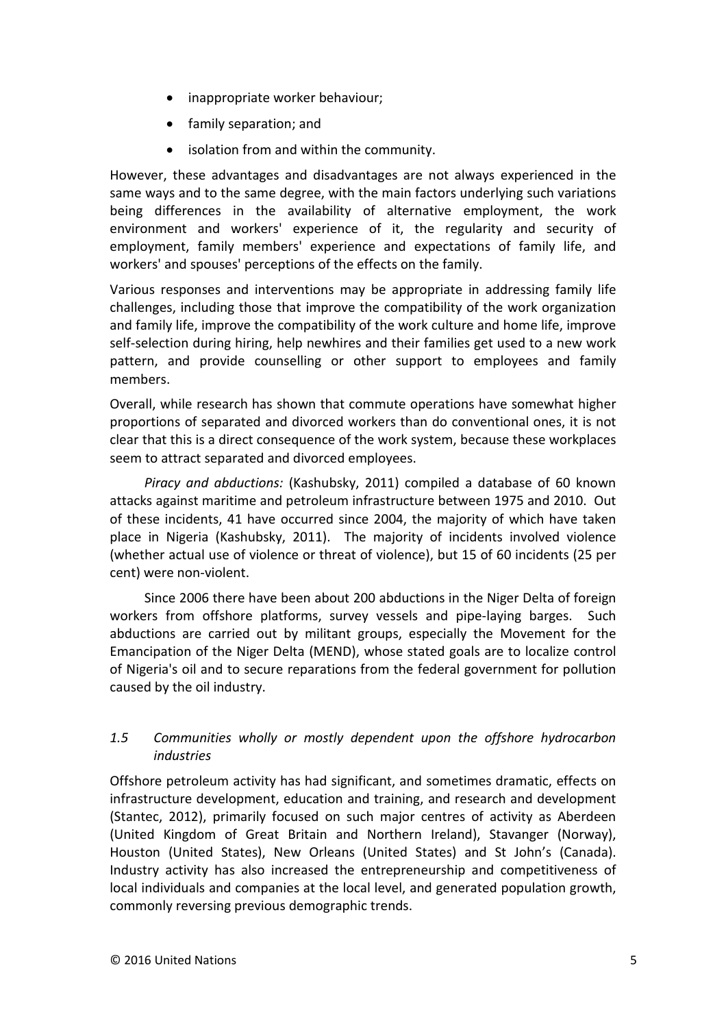- inappropriate worker behaviour;
- family separation; and
- isolation from and within the community.

However, these advantages and disadvantages are not always experienced in the same ways and to the same degree, with the main factors underlying such variations being differences in the availability of alternative employment, the work environment and workers' experience of it, the regularity and security of employment, family members' experience and expectations of family life, and workers' and spouses' perceptions of the effects on the family.

Various responses and interventions may be appropriate in addressing family life challenges, including those that improve the compatibility of the work organization and family life, improve the compatibility of the work culture and home life, improve self-selection during hiring, help newhires and their families get used to a new work pattern, and provide counselling or other support to employees and family members.

Overall, while research has shown that commute operations have somewhat higher proportions of separated and divorced workers than do conventional ones, it is not clear that this is a direct consequence of the work system, because these workplaces seem to attract separated and divorced employees.

*Piracy and abductions:* (Kashubsky, 2011) compiled a database of 60 known attacks against maritime and petroleum infrastructure between 1975 and 2010. Out of these incidents, 41 have occurred since 2004, the majority of which have taken place in Nigeria (Kashubsky, 2011). The majority of incidents involved violence (whether actual use of violence or threat of violence), but 15 of 60 incidents (25 per cent) were non-violent.

Since 2006 there have been about 200 abductions in the Niger Delta of foreign workers from offshore platforms, survey vessels and pipe-laying barges. Such abductions are carried out by militant groups, especially the Movement for the Emancipation of the Niger Delta (MEND), whose stated goals are to localize control of Nigeria's oil and to secure reparations from the federal government for pollution caused by the oil industry.

## *1.5 Communities wholly or mostly dependent upon the offshore hydrocarbon industries*

Offshore petroleum activity has had significant, and sometimes dramatic, effects on infrastructure development, education and training, and research and development (Stantec, 2012), primarily focused on such major centres of activity as Aberdeen (United Kingdom of Great Britain and Northern Ireland), Stavanger (Norway), Houston (United States), New Orleans (United States) and St John's (Canada). Industry activity has also increased the entrepreneurship and competitiveness of local individuals and companies at the local level, and generated population growth, commonly reversing previous demographic trends.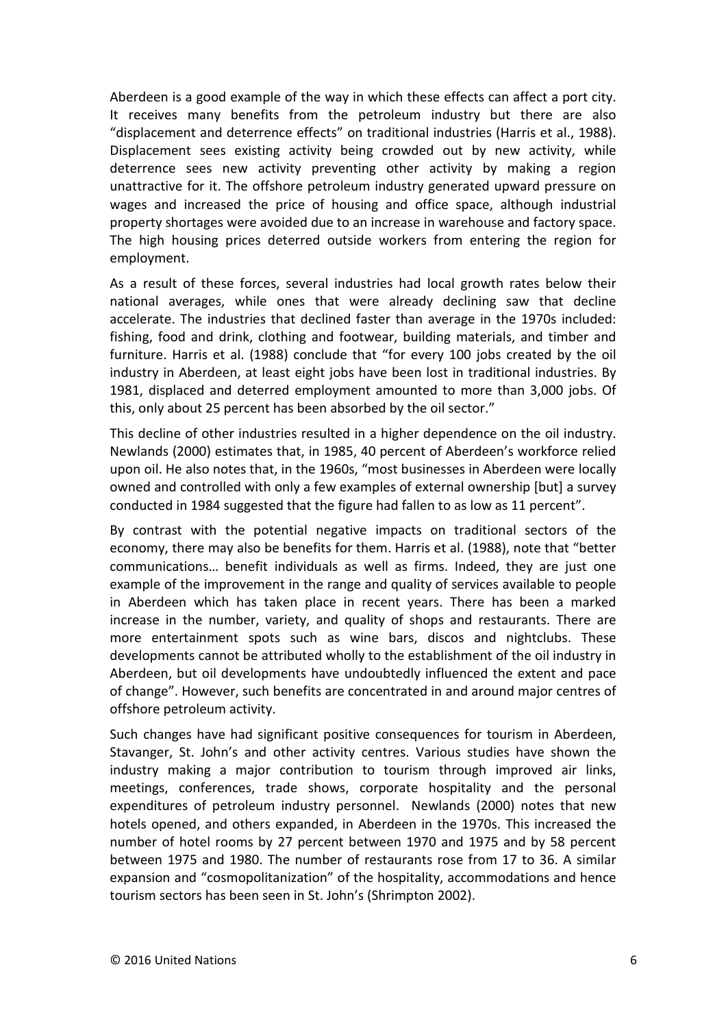Aberdeen is a good example of the way in which these effects can affect a port city. It receives many benefits from the petroleum industry but there are also "displacement and deterrence effects" on traditional industries (Harris et al., 1988). Displacement sees existing activity being crowded out by new activity, while deterrence sees new activity preventing other activity by making a region unattractive for it. The offshore petroleum industry generated upward pressure on wages and increased the price of housing and office space, although industrial property shortages were avoided due to an increase in warehouse and factory space. The high housing prices deterred outside workers from entering the region for employment.

As a result of these forces, several industries had local growth rates below their national averages, while ones that were already declining saw that decline accelerate. The industries that declined faster than average in the 1970s included: fishing, food and drink, clothing and footwear, building materials, and timber and furniture. Harris et al. (1988) conclude that "for every 100 jobs created by the oil industry in Aberdeen, at least eight jobs have been lost in traditional industries. By 1981, displaced and deterred employment amounted to more than 3,000 jobs. Of this, only about 25 percent has been absorbed by the oil sector."

This decline of other industries resulted in a higher dependence on the oil industry. Newlands (2000) estimates that, in 1985, 40 percent of Aberdeen's workforce relied upon oil. He also notes that, in the 1960s, "most businesses in Aberdeen were locally owned and controlled with only a few examples of external ownership [but] a survey conducted in 1984 suggested that the figure had fallen to as low as 11 percent".

By contrast with the potential negative impacts on traditional sectors of the economy, there may also be benefits for them. Harris et al. (1988), note that "better communications… benefit individuals as well as firms. Indeed, they are just one example of the improvement in the range and quality of services available to people in Aberdeen which has taken place in recent years. There has been a marked increase in the number, variety, and quality of shops and restaurants. There are more entertainment spots such as wine bars, discos and nightclubs. These developments cannot be attributed wholly to the establishment of the oil industry in Aberdeen, but oil developments have undoubtedly influenced the extent and pace of change". However, such benefits are concentrated in and around major centres of offshore petroleum activity.

Such changes have had significant positive consequences for tourism in Aberdeen, Stavanger, St. John's and other activity centres. Various studies have shown the industry making a major contribution to tourism through improved air links, meetings, conferences, trade shows, corporate hospitality and the personal expenditures of petroleum industry personnel. Newlands (2000) notes that new hotels opened, and others expanded, in Aberdeen in the 1970s. This increased the number of hotel rooms by 27 percent between 1970 and 1975 and by 58 percent between 1975 and 1980. The number of restaurants rose from 17 to 36. A similar expansion and "cosmopolitanization" of the hospitality, accommodations and hence tourism sectors has been seen in St. John's (Shrimpton 2002).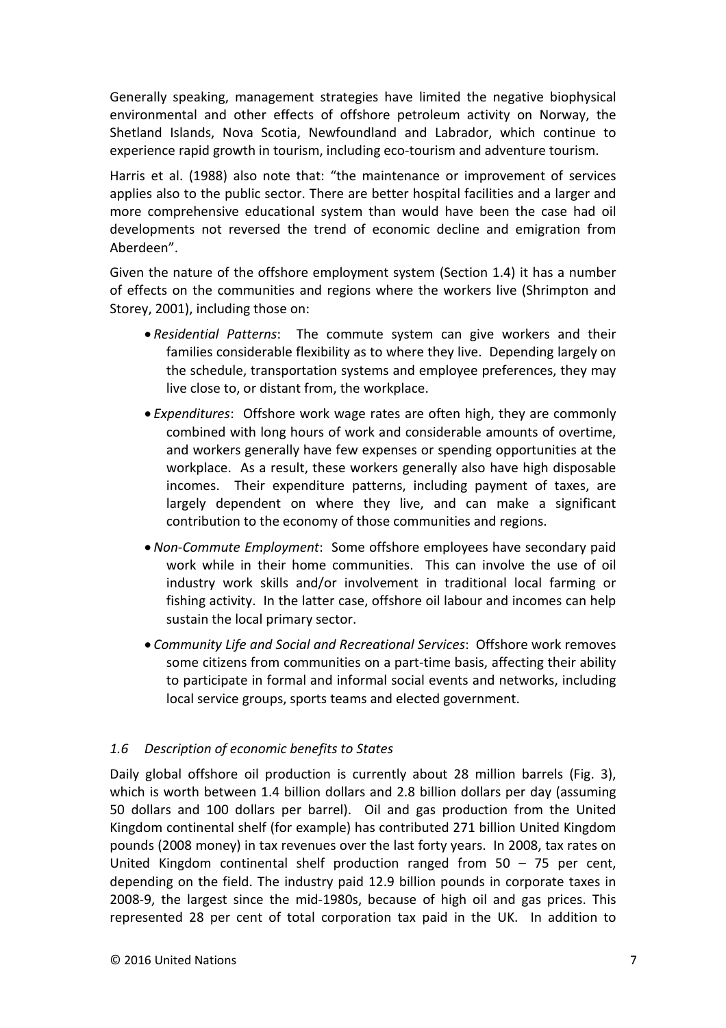Generally speaking, management strategies have limited the negative biophysical environmental and other effects of offshore petroleum activity on Norway, the Shetland Islands, Nova Scotia, Newfoundland and Labrador, which continue to experience rapid growth in tourism, including eco-tourism and adventure tourism.

Harris et al. (1988) also note that: "the maintenance or improvement of services applies also to the public sector. There are better hospital facilities and a larger and more comprehensive educational system than would have been the case had oil developments not reversed the trend of economic decline and emigration from Aberdeen".

Given the nature of the offshore employment system (Section 1.4) it has a number of effects on the communities and regions where the workers live (Shrimpton and Storey, 2001), including those on:

- *Residential Patterns*: The commute system can give workers and their families considerable flexibility as to where they live. Depending largely on the schedule, transportation systems and employee preferences, they may live close to, or distant from, the workplace.
- *Expenditures*: Offshore work wage rates are often high, they are commonly combined with long hours of work and considerable amounts of overtime, and workers generally have few expenses or spending opportunities at the workplace. As a result, these workers generally also have high disposable incomes. Their expenditure patterns, including payment of taxes, are largely dependent on where they live, and can make a significant contribution to the economy of those communities and regions.
- *Non-Commute Employment*: Some offshore employees have secondary paid work while in their home communities. This can involve the use of oil industry work skills and/or involvement in traditional local farming or fishing activity. In the latter case, offshore oil labour and incomes can help sustain the local primary sector.
- *Community Life and Social and Recreational Services*: Offshore work removes some citizens from communities on a part-time basis, affecting their ability to participate in formal and informal social events and networks, including local service groups, sports teams and elected government.

# *1.6 Description of economic benefits to States*

Daily global offshore oil production is currently about 28 million barrels (Fig. 3), which is worth between 1.4 billion dollars and 2.8 billion dollars per day (assuming 50 dollars and 100 dollars per barrel). Oil and gas production from the United Kingdom continental shelf (for example) has contributed 271 billion United Kingdom pounds (2008 money) in tax revenues over the last forty years. In 2008, tax rates on United Kingdom continental shelf production ranged from 50 – 75 per cent, depending on the field. The industry paid 12.9 billion pounds in corporate taxes in 2008-9, the largest since the mid-1980s, because of high oil and gas prices. This represented 28 per cent of total corporation tax paid in the UK. In addition to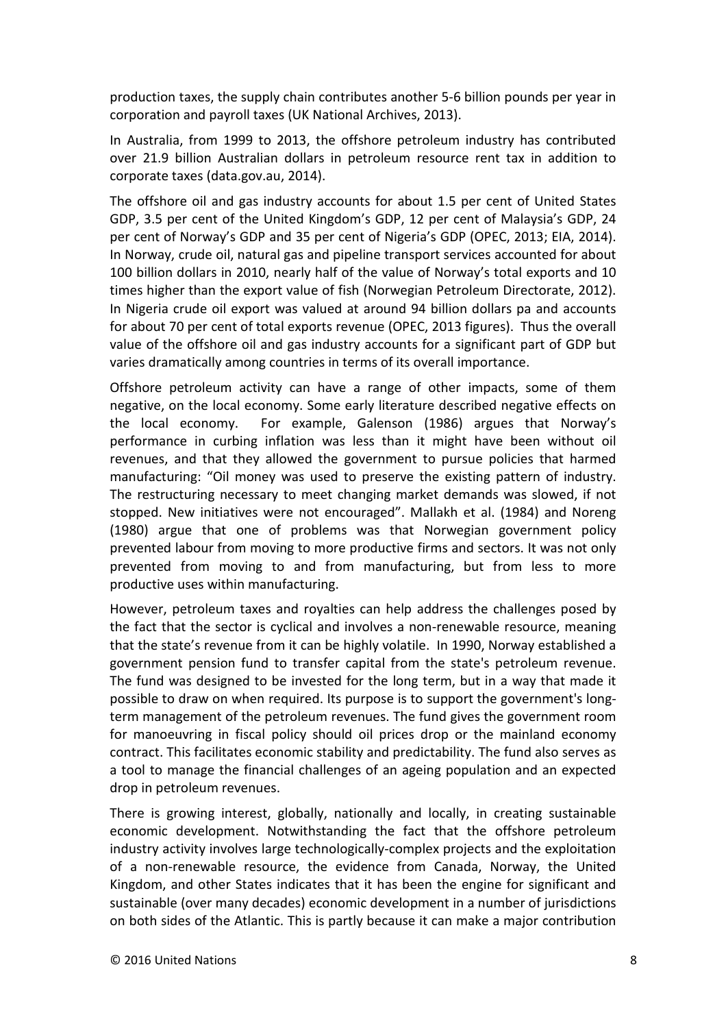production taxes, the supply chain contributes another 5-6 billion pounds per year in corporation and payroll taxes (UK National Archives, 2013).

In Australia, from 1999 to 2013, the offshore petroleum industry has contributed over 21.9 billion Australian dollars in petroleum resource rent tax in addition to corporate taxes (data.gov.au, 2014).

The offshore oil and gas industry accounts for about 1.5 per cent of United States GDP, 3.5 per cent of the United Kingdom's GDP, 12 per cent of Malaysia's GDP, 24 per cent of Norway's GDP and 35 per cent of Nigeria's GDP (OPEC, 2013; EIA, 2014). In Norway, crude oil, natural gas and pipeline transport services accounted for about 100 billion dollars in 2010, nearly half of the value of Norway's total exports and 10 times higher than the export value of fish (Norwegian Petroleum Directorate, 2012). In Nigeria crude oil export was valued at around 94 billion dollars pa and accounts for about 70 per cent of total exports revenue (OPEC, 2013 figures). Thus the overall value of the offshore oil and gas industry accounts for a significant part of GDP but varies dramatically among countries in terms of its overall importance.

Offshore petroleum activity can have a range of other impacts, some of them negative, on the local economy. Some early literature described negative effects on the local economy. For example, Galenson (1986) argues that Norway's performance in curbing inflation was less than it might have been without oil revenues, and that they allowed the government to pursue policies that harmed manufacturing: "Oil money was used to preserve the existing pattern of industry. The restructuring necessary to meet changing market demands was slowed, if not stopped. New initiatives were not encouraged". Mallakh et al. (1984) and Noreng (1980) argue that one of problems was that Norwegian government policy prevented labour from moving to more productive firms and sectors. It was not only prevented from moving to and from manufacturing, but from less to more productive uses within manufacturing.

However, petroleum taxes and royalties can help address the challenges posed by the fact that the sector is cyclical and involves a non-renewable resource, meaning that the state's revenue from it can be highly volatile. In 1990, Norway established a government pension fund to transfer capital from the state's petroleum revenue. The fund was designed to be invested for the long term, but in a way that made it possible to draw on when required. Its purpose is to support the government's longterm management of the petroleum revenues. The fund gives the government room for manoeuvring in fiscal policy should oil prices drop or the mainland economy contract. This facilitates economic stability and predictability. The fund also serves as a tool to manage the financial challenges of an ageing population and an expected drop in petroleum revenues.

There is growing interest, globally, nationally and locally, in creating sustainable economic development. Notwithstanding the fact that the offshore petroleum industry activity involves large technologically-complex projects and the exploitation of a non-renewable resource, the evidence from Canada, Norway, the United Kingdom, and other States indicates that it has been the engine for significant and sustainable (over many decades) economic development in a number of jurisdictions on both sides of the Atlantic. This is partly because it can make a major contribution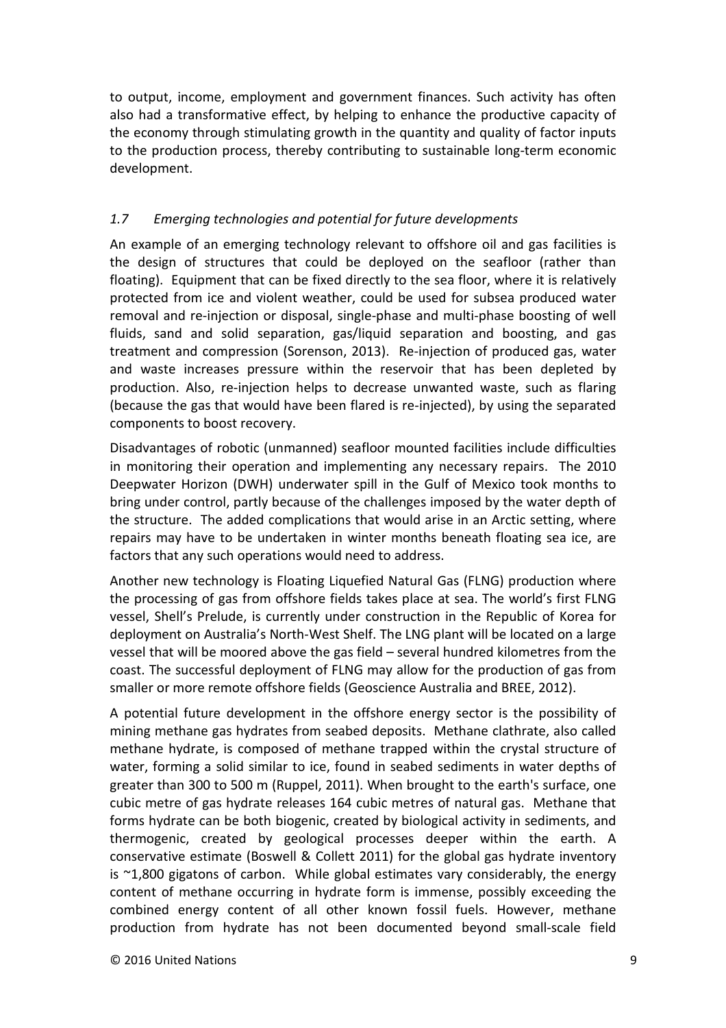to output, income, employment and government finances. Such activity has often also had a transformative effect, by helping to enhance the productive capacity of the economy through stimulating growth in the quantity and quality of factor inputs to the production process, thereby contributing to sustainable long-term economic development.

## *1.7 Emerging technologies and potential for future developments*

An example of an emerging technology relevant to offshore oil and gas facilities is the design of structures that could be deployed on the seafloor (rather than floating). Equipment that can be fixed directly to the sea floor, where it is relatively protected from ice and violent weather, could be used for subsea produced water removal and re-injection or disposal, single-phase and multi-phase boosting of well fluids, sand and solid separation, gas/liquid separation and boosting, and gas treatment and compression (Sorenson, 2013). Re-injection of produced gas, water and waste increases pressure within the reservoir that has been depleted by production. Also, re-injection helps to decrease unwanted waste, such as flaring (because the gas that would have been flared is re-injected), by using the separated components to boost recovery.

Disadvantages of robotic (unmanned) seafloor mounted facilities include difficulties in monitoring their operation and implementing any necessary repairs. The 2010 Deepwater Horizon (DWH) underwater spill in the Gulf of Mexico took months to bring under control, partly because of the challenges imposed by the water depth of the structure. The added complications that would arise in an Arctic setting, where repairs may have to be undertaken in winter months beneath floating sea ice, are factors that any such operations would need to address.

Another new technology is Floating Liquefied Natural Gas (FLNG) production where the processing of gas from offshore fields takes place at sea. The world's first FLNG vessel, Shell's Prelude, is currently under construction in the Republic of Korea for deployment on Australia's North-West Shelf. The LNG plant will be located on a large vessel that will be moored above the gas field – several hundred kilometres from the coast. The successful deployment of FLNG may allow for the production of gas from smaller or more remote offshore fields (Geoscience Australia and BREE, 2012).

A potential future development in the offshore energy sector is the possibility of mining methane gas hydrates from seabed deposits. Methane clathrate, also called methane hydrate, is composed of methane trapped within the crystal structure of water, forming a solid similar to ice, found in seabed sediments in water depths of greater than 300 to 500 m (Ruppel, 2011). When brought to the earth's surface, one cubic metre of gas hydrate releases 164 cubic metres of natural gas. Methane that forms hydrate can be both biogenic, created by biological activity in sediments, and thermogenic, created by geological processes deeper within the earth. A conservative estimate (Boswell & Collett 2011) for the global gas hydrate inventory is ~1,800 gigatons of carbon. While global estimates vary considerably, the energy content of methane occurring in hydrate form is immense, possibly exceeding the combined energy content of all other known fossil fuels. However, methane production from hydrate has not been documented beyond small-scale field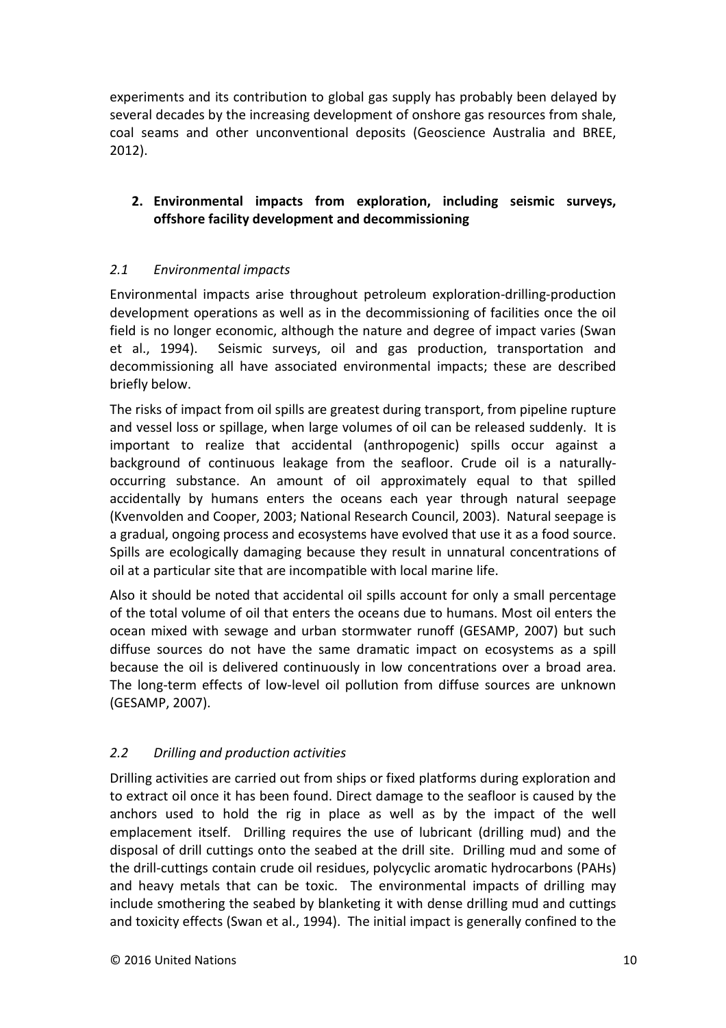experiments and its contribution to global gas supply has probably been delayed by several decades by the increasing development of onshore gas resources from shale, coal seams and other unconventional deposits (Geoscience Australia and BREE, 2012).

## **2. Environmental impacts from exploration, including seismic surveys, offshore facility development and decommissioning**

# *2.1 Environmental impacts*

Environmental impacts arise throughout petroleum exploration-drilling-production development operations as well as in the decommissioning of facilities once the oil field is no longer economic, although the nature and degree of impact varies (Swan et al., 1994). Seismic surveys, oil and gas production, transportation and decommissioning all have associated environmental impacts; these are described briefly below.

The risks of impact from oil spills are greatest during transport, from pipeline rupture and vessel loss or spillage, when large volumes of oil can be released suddenly. It is important to realize that accidental (anthropogenic) spills occur against a background of continuous leakage from the seafloor. Crude oil is a naturallyoccurring substance. An amount of oil approximately equal to that spilled accidentally by humans enters the oceans each year through natural seepage (Kvenvolden and Cooper, 2003; National Research Council, 2003). Natural seepage is a gradual, ongoing process and ecosystems have evolved that use it as a food source. Spills are ecologically damaging because they result in unnatural concentrations of oil at a particular site that are incompatible with local marine life.

Also it should be noted that accidental oil spills account for only a small percentage of the total volume of oil that enters the oceans due to humans. Most oil enters the ocean mixed with sewage and urban stormwater runoff (GESAMP, 2007) but such diffuse sources do not have the same dramatic impact on ecosystems as a spill because the oil is delivered continuously in low concentrations over a broad area. The long-term effects of low-level oil pollution from diffuse sources are unknown (GESAMP, 2007).

# *2.2 Drilling and production activities*

Drilling activities are carried out from ships or fixed platforms during exploration and to extract oil once it has been found. Direct damage to the seafloor is caused by the anchors used to hold the rig in place as well as by the impact of the well emplacement itself. Drilling requires the use of lubricant (drilling mud) and the disposal of drill cuttings onto the seabed at the drill site. Drilling mud and some of the drill-cuttings contain crude oil residues, polycyclic aromatic hydrocarbons (PAHs) and heavy metals that can be toxic. The environmental impacts of drilling may include smothering the seabed by blanketing it with dense drilling mud and cuttings and toxicity effects (Swan et al., 1994). The initial impact is generally confined to the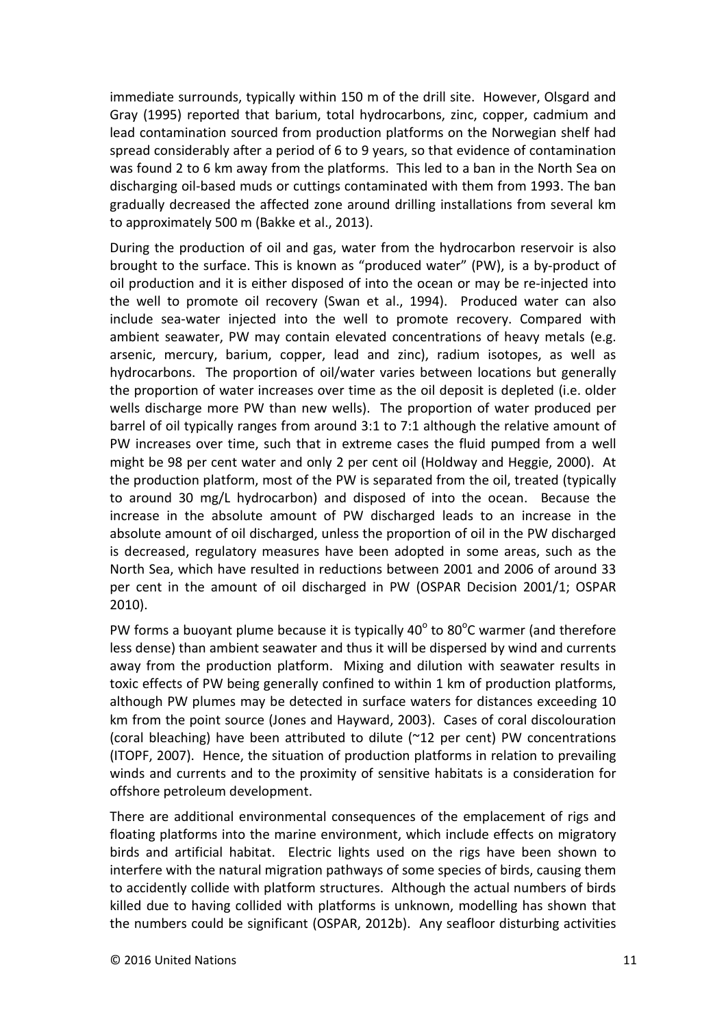immediate surrounds, typically within 150 m of the drill site. However, Olsgard and Gray (1995) reported that barium, total hydrocarbons, zinc, copper, cadmium and lead contamination sourced from production platforms on the Norwegian shelf had spread considerably after a period of 6 to 9 years, so that evidence of contamination was found 2 to 6 km away from the platforms. This led to a ban in the North Sea on discharging oil-based muds or cuttings contaminated with them from 1993. The ban gradually decreased the affected zone around drilling installations from several km to approximately 500 m (Bakke et al., 2013).

During the production of oil and gas, water from the hydrocarbon reservoir is also brought to the surface. This is known as "produced water" (PW), is a by-product of oil production and it is either disposed of into the ocean or may be re-injected into the well to promote oil recovery (Swan et al., 1994). Produced water can also include sea-water injected into the well to promote recovery. Compared with ambient seawater, PW may contain elevated concentrations of heavy metals (e.g. arsenic, mercury, barium, copper, lead and zinc), radium isotopes, as well as hydrocarbons. The proportion of oil/water varies between locations but generally the proportion of water increases over time as the oil deposit is depleted (i.e. older wells discharge more PW than new wells). The proportion of water produced per barrel of oil typically ranges from around 3:1 to 7:1 although the relative amount of PW increases over time, such that in extreme cases the fluid pumped from a well might be 98 per cent water and only 2 per cent oil (Holdway and Heggie, 2000). At the production platform, most of the PW is separated from the oil, treated (typically to around 30 mg/L hydrocarbon) and disposed of into the ocean. Because the increase in the absolute amount of PW discharged leads to an increase in the absolute amount of oil discharged, unless the proportion of oil in the PW discharged is decreased, regulatory measures have been adopted in some areas, such as the North Sea, which have resulted in reductions between 2001 and 2006 of around 33 per cent in the amount of oil discharged in PW (OSPAR Decision 2001/1; OSPAR 2010).

PW forms a buoyant plume because it is typically 40 $^{\circ}$  to 80 $^{\circ}$ C warmer (and therefore less dense) than ambient seawater and thus it will be dispersed by wind and currents away from the production platform. Mixing and dilution with seawater results in toxic effects of PW being generally confined to within 1 km of production platforms, although PW plumes may be detected in surface waters for distances exceeding 10 km from the point source (Jones and Hayward, 2003). Cases of coral discolouration (coral bleaching) have been attributed to dilute (~12 per cent) PW concentrations (ITOPF, 2007). Hence, the situation of production platforms in relation to prevailing winds and currents and to the proximity of sensitive habitats is a consideration for offshore petroleum development.

There are additional environmental consequences of the emplacement of rigs and floating platforms into the marine environment, which include effects on migratory birds and artificial habitat. Electric lights used on the rigs have been shown to interfere with the natural migration pathways of some species of birds, causing them to accidently collide with platform structures. Although the actual numbers of birds killed due to having collided with platforms is unknown, modelling has shown that the numbers could be significant (OSPAR, 2012b). Any seafloor disturbing activities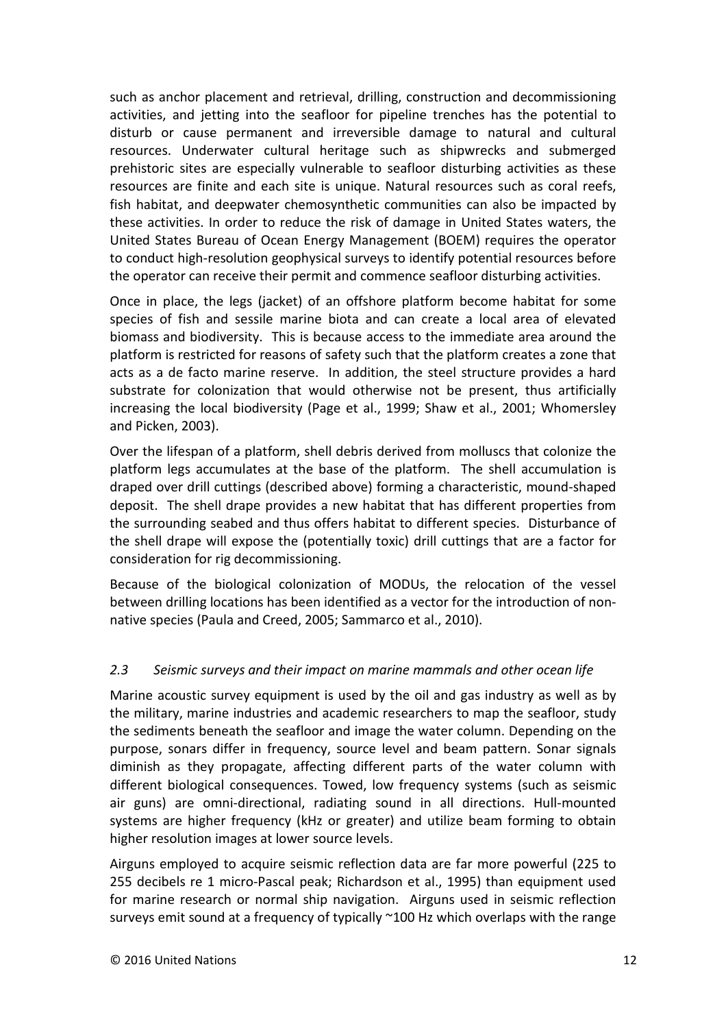such as anchor placement and retrieval, drilling, construction and decommissioning activities, and jetting into the seafloor for pipeline trenches has the potential to disturb or cause permanent and irreversible damage to natural and cultural resources. Underwater cultural heritage such as shipwrecks and submerged prehistoric sites are especially vulnerable to seafloor disturbing activities as these resources are finite and each site is unique. Natural resources such as coral reefs, fish habitat, and deepwater chemosynthetic communities can also be impacted by these activities. In order to reduce the risk of damage in United States waters, the United States Bureau of Ocean Energy Management (BOEM) requires the operator to conduct high-resolution geophysical surveys to identify potential resources before the operator can receive their permit and commence seafloor disturbing activities.

Once in place, the legs (jacket) of an offshore platform become habitat for some species of fish and sessile marine biota and can create a local area of elevated biomass and biodiversity. This is because access to the immediate area around the platform is restricted for reasons of safety such that the platform creates a zone that acts as a de facto marine reserve. In addition, the steel structure provides a hard substrate for colonization that would otherwise not be present, thus artificially increasing the local biodiversity (Page et al., 1999; Shaw et al., 2001; Whomersley and Picken, 2003).

Over the lifespan of a platform, shell debris derived from molluscs that colonize the platform legs accumulates at the base of the platform. The shell accumulation is draped over drill cuttings (described above) forming a characteristic, mound-shaped deposit. The shell drape provides a new habitat that has different properties from the surrounding seabed and thus offers habitat to different species. Disturbance of the shell drape will expose the (potentially toxic) drill cuttings that are a factor for consideration for rig decommissioning.

Because of the biological colonization of MODUs, the relocation of the vessel between drilling locations has been identified as a vector for the introduction of nonnative species (Paula and Creed, 2005; Sammarco et al., 2010).

### *2.3 Seismic surveys and their impact on marine mammals and other ocean life*

Marine acoustic survey equipment is used by the oil and gas industry as well as by the military, marine industries and academic researchers to map the seafloor, study the sediments beneath the seafloor and image the water column. Depending on the purpose, sonars differ in frequency, source level and beam pattern. Sonar signals diminish as they propagate, affecting different parts of the water column with different biological consequences. Towed, low frequency systems (such as seismic air guns) are omni-directional, radiating sound in all directions. Hull-mounted systems are higher frequency (kHz or greater) and utilize beam forming to obtain higher resolution images at lower source levels.

Airguns employed to acquire seismic reflection data are far more powerful (225 to 255 decibels re 1 micro-Pascal peak; Richardson et al., 1995) than equipment used for marine research or normal ship navigation. Airguns used in seismic reflection surveys emit sound at a frequency of typically ~100 Hz which overlaps with the range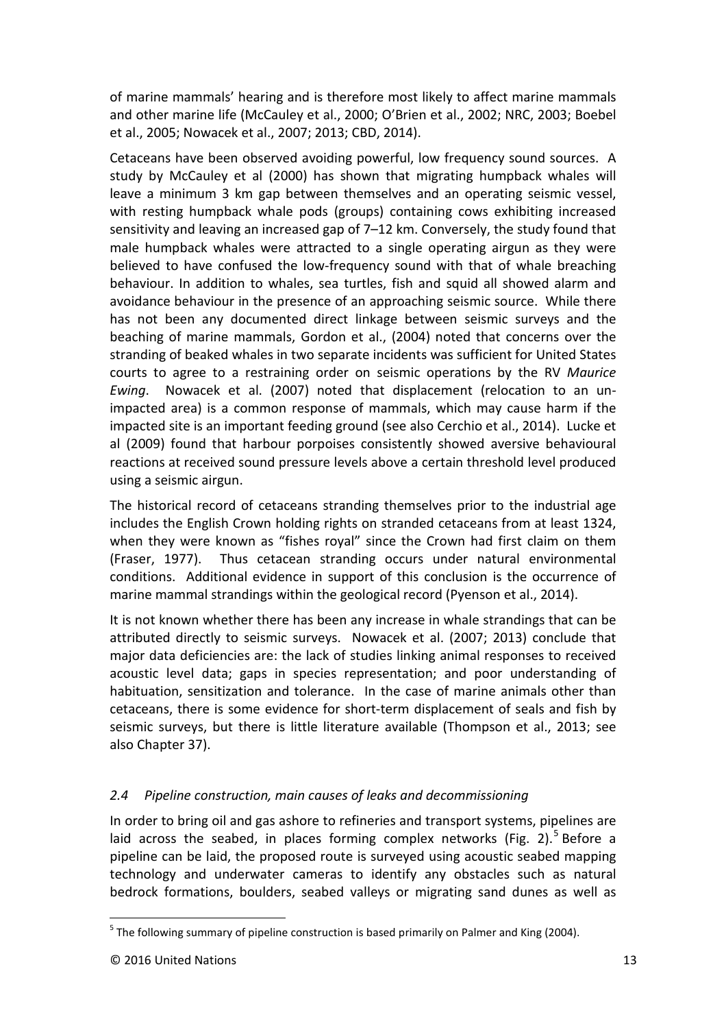of marine mammals' hearing and is therefore most likely to affect marine mammals and other marine life (McCauley et al., 2000; O'Brien et al., 2002; NRC, 2003; Boebel et al., 2005; Nowacek et al., 2007; 2013; CBD, 2014).

Cetaceans have been observed avoiding powerful, low frequency sound sources. A study by McCauley et al (2000) has shown that migrating humpback whales will leave a minimum 3 km gap between themselves and an operating seismic vessel, with resting humpback whale pods (groups) containing cows exhibiting increased sensitivity and leaving an increased gap of 7–12 km. Conversely, the study found that male humpback whales were attracted to a single operating airgun as they were believed to have confused the low-frequency sound with that of whale breaching behaviour. In addition to whales, sea turtles, fish and squid all showed alarm and avoidance behaviour in the presence of an approaching seismic source. While there has not been any documented direct linkage between seismic surveys and the beaching of marine mammals, Gordon et al., (2004) noted that concerns over the stranding of beaked whales in two separate incidents was sufficient for United States courts to agree to a restraining order on seismic operations by the RV *Maurice Ewing*. Nowacek et al. (2007) noted that displacement (relocation to an unimpacted area) is a common response of mammals, which may cause harm if the impacted site is an important feeding ground (see also Cerchio et al., 2014). Lucke et al (2009) found that harbour porpoises consistently showed aversive behavioural reactions at received sound pressure levels above a certain threshold level produced using a seismic airgun.

The historical record of cetaceans stranding themselves prior to the industrial age includes the English Crown holding rights on stranded cetaceans from at least 1324, when they were known as "fishes royal" since the Crown had first claim on them (Fraser, 1977). Thus cetacean stranding occurs under natural environmental conditions. Additional evidence in support of this conclusion is the occurrence of marine mammal strandings within the geological record (Pyenson et al., 2014).

It is not known whether there has been any increase in whale strandings that can be attributed directly to seismic surveys. Nowacek et al. (2007; 2013) conclude that major data deficiencies are: the lack of studies linking animal responses to received acoustic level data; gaps in species representation; and poor understanding of habituation, sensitization and tolerance. In the case of marine animals other than cetaceans, there is some evidence for short-term displacement of seals and fish by seismic surveys, but there is little literature available (Thompson et al., 2013; see also Chapter 37).

# *2.4 Pipeline construction, main causes of leaks and decommissioning*

In order to bring oil and gas ashore to refineries and transport systems, pipelines are laid across the seabed, in places forming complex networks (Fig. 2).<sup>[5](#page-12-0)</sup> Before a pipeline can be laid, the proposed route is surveyed using acoustic seabed mapping technology and underwater cameras to identify any obstacles such as natural bedrock formations, boulders, seabed valleys or migrating sand dunes as well as

 $\overline{a}$ 

<span id="page-12-0"></span> $<sup>5</sup>$  The following summary of pipeline construction is based primarily on Palmer and King (2004).</sup>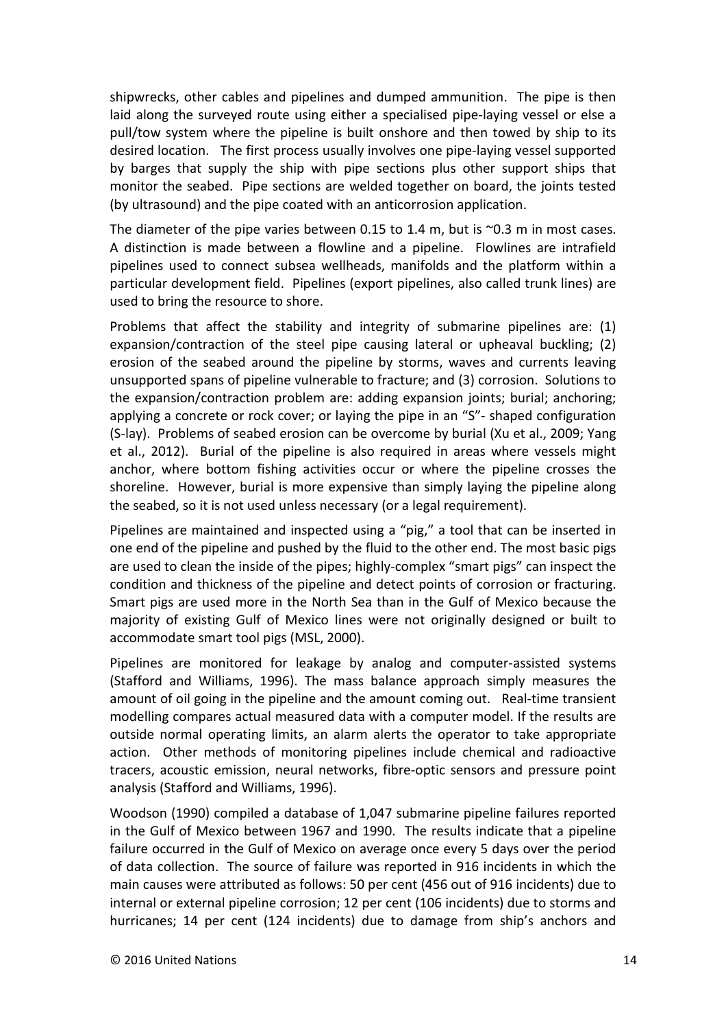shipwrecks, other cables and pipelines and dumped ammunition. The pipe is then laid along the surveyed route using either a specialised pipe-laying vessel or else a pull/tow system where the pipeline is built onshore and then towed by ship to its desired location. The first process usually involves one pipe-laying vessel supported by barges that supply the ship with pipe sections plus other support ships that monitor the seabed. Pipe sections are welded together on board, the joints tested (by ultrasound) and the pipe coated with an anticorrosion application.

The diameter of the pipe varies between 0.15 to 1.4 m, but is  $\sim$ 0.3 m in most cases. A distinction is made between a flowline and a pipeline. Flowlines are intrafield pipelines used to connect subsea wellheads, manifolds and the platform within a particular development field. Pipelines (export pipelines, also called trunk lines) are used to bring the resource to shore.

Problems that affect the stability and integrity of submarine pipelines are: (1) expansion/contraction of the steel pipe causing lateral or upheaval buckling; (2) erosion of the seabed around the pipeline by storms, waves and currents leaving unsupported spans of pipeline vulnerable to fracture; and (3) corrosion. Solutions to the expansion/contraction problem are: adding expansion joints; burial; anchoring; applying a concrete or rock cover; or laying the pipe in an "S"- shaped configuration (S-lay). Problems of seabed erosion can be overcome by burial (Xu et al., 2009; Yang et al., 2012). Burial of the pipeline is also required in areas where vessels might anchor, where bottom fishing activities occur or where the pipeline crosses the shoreline. However, burial is more expensive than simply laying the pipeline along the seabed, so it is not used unless necessary (or a legal requirement).

Pipelines are maintained and inspected using a "pig," a tool that can be inserted in one end of the pipeline and pushed by the fluid to the other end. The most basic pigs are used to clean the inside of the pipes; highly-complex "smart pigs" can inspect the condition and thickness of the pipeline and detect points of corrosion or fracturing. Smart pigs are used more in the North Sea than in the Gulf of Mexico because the majority of existing Gulf of Mexico lines were not originally designed or built to accommodate smart tool pigs (MSL, 2000).

Pipelines are monitored for leakage by analog and computer-assisted systems (Stafford and Williams, 1996). The mass balance approach simply measures the amount of oil going in the pipeline and the amount coming out. Real-time transient modelling compares actual measured data with a computer model. If the results are outside normal operating limits, an alarm alerts the operator to take appropriate action. Other methods of monitoring pipelines include chemical and radioactive tracers, acoustic emission, neural networks, fibre-optic sensors and pressure point analysis (Stafford and Williams, 1996).

Woodson (1990) compiled a database of 1,047 submarine pipeline failures reported in the Gulf of Mexico between 1967 and 1990. The results indicate that a pipeline failure occurred in the Gulf of Mexico on average once every 5 days over the period of data collection. The source of failure was reported in 916 incidents in which the main causes were attributed as follows: 50 per cent (456 out of 916 incidents) due to internal or external pipeline corrosion; 12 per cent (106 incidents) due to storms and hurricanes; 14 per cent (124 incidents) due to damage from ship's anchors and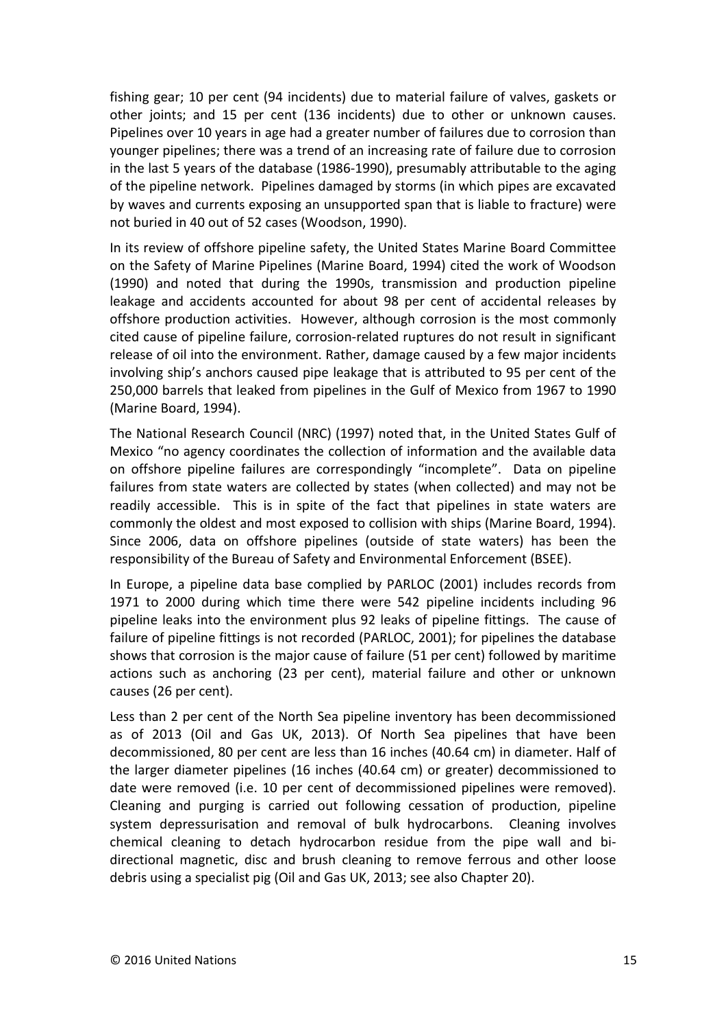fishing gear; 10 per cent (94 incidents) due to material failure of valves, gaskets or other joints; and 15 per cent (136 incidents) due to other or unknown causes. Pipelines over 10 years in age had a greater number of failures due to corrosion than younger pipelines; there was a trend of an increasing rate of failure due to corrosion in the last 5 years of the database (1986-1990), presumably attributable to the aging of the pipeline network. Pipelines damaged by storms (in which pipes are excavated by waves and currents exposing an unsupported span that is liable to fracture) were not buried in 40 out of 52 cases (Woodson, 1990).

In its review of offshore pipeline safety, the United States Marine Board Committee on the Safety of Marine Pipelines (Marine Board, 1994) cited the work of Woodson (1990) and noted that during the 1990s, transmission and production pipeline leakage and accidents accounted for about 98 per cent of accidental releases by offshore production activities. However, although corrosion is the most commonly cited cause of pipeline failure, corrosion-related ruptures do not result in significant release of oil into the environment. Rather, damage caused by a few major incidents involving ship's anchors caused pipe leakage that is attributed to 95 per cent of the 250,000 barrels that leaked from pipelines in the Gulf of Mexico from 1967 to 1990 (Marine Board, 1994).

The National Research Council (NRC) (1997) noted that, in the United States Gulf of Mexico "no agency coordinates the collection of information and the available data on offshore pipeline failures are correspondingly "incomplete". Data on pipeline failures from state waters are collected by states (when collected) and may not be readily accessible. This is in spite of the fact that pipelines in state waters are commonly the oldest and most exposed to collision with ships (Marine Board, 1994). Since 2006, data on offshore pipelines (outside of state waters) has been the responsibility of the Bureau of Safety and Environmental Enforcement (BSEE).

In Europe, a pipeline data base complied by PARLOC (2001) includes records from 1971 to 2000 during which time there were 542 pipeline incidents including 96 pipeline leaks into the environment plus 92 leaks of pipeline fittings. The cause of failure of pipeline fittings is not recorded (PARLOC, 2001); for pipelines the database shows that corrosion is the major cause of failure (51 per cent) followed by maritime actions such as anchoring (23 per cent), material failure and other or unknown causes (26 per cent).

Less than 2 per cent of the North Sea pipeline inventory has been decommissioned as of 2013 (Oil and Gas UK, 2013). Of North Sea pipelines that have been decommissioned, 80 per cent are less than 16 inches (40.64 cm) in diameter. Half of the larger diameter pipelines (16 inches (40.64 cm) or greater) decommissioned to date were removed (i.e. 10 per cent of decommissioned pipelines were removed). Cleaning and purging is carried out following cessation of production, pipeline system depressurisation and removal of bulk hydrocarbons. Cleaning involves chemical cleaning to detach hydrocarbon residue from the pipe wall and bidirectional magnetic, disc and brush cleaning to remove ferrous and other loose debris using a specialist pig (Oil and Gas UK, 2013; see also Chapter 20).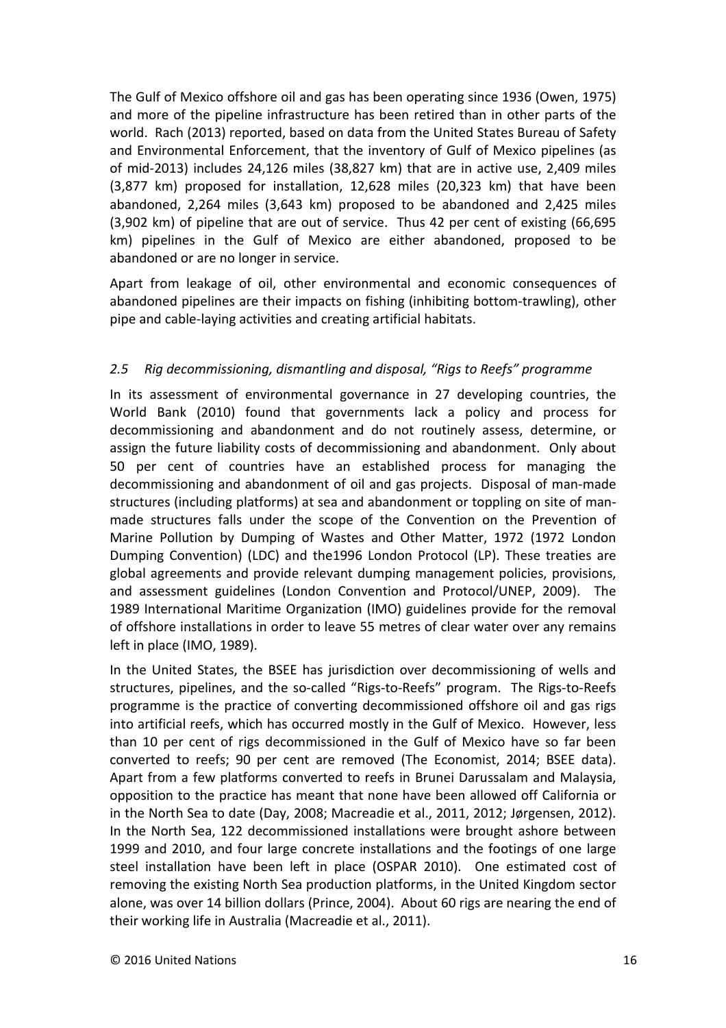The Gulf of Mexico offshore oil and gas has been operating since 1936 (Owen, 1975) and more of the pipeline infrastructure has been retired than in other parts of the world. Rach (2013) reported, based on data from the United States Bureau of Safety and Environmental Enforcement, that the inventory of Gulf of Mexico pipelines (as of mid-2013) includes 24,126 miles (38,827 km) that are in active use, 2,409 miles (3,877 km) proposed for installation, 12,628 miles (20,323 km) that have been abandoned, 2,264 miles (3,643 km) proposed to be abandoned and 2,425 miles (3,902 km) of pipeline that are out of service. Thus 42 per cent of existing (66,695 km) pipelines in the Gulf of Mexico are either abandoned, proposed to be abandoned or are no longer in service.

Apart from leakage of oil, other environmental and economic consequences of abandoned pipelines are their impacts on fishing (inhibiting bottom-trawling), other pipe and cable-laying activities and creating artificial habitats.

## *2.5 Rig decommissioning, dismantling and disposal, "Rigs to Reefs" programme*

In its assessment of environmental governance in 27 developing countries, the World Bank (2010) found that governments lack a policy and process for decommissioning and abandonment and do not routinely assess, determine, or assign the future liability costs of decommissioning and abandonment. Only about 50 per cent of countries have an established process for managing the decommissioning and abandonment of oil and gas projects. Disposal of man-made structures (including platforms) at sea and abandonment or toppling on site of manmade structures falls under the scope of the Convention on the Prevention of Marine Pollution by Dumping of Wastes and Other Matter, 1972 (1972 London Dumping Convention) (LDC) and the1996 London Protocol (LP). These treaties are global agreements and provide relevant dumping management policies, provisions, and assessment guidelines (London Convention and Protocol/UNEP, 2009). The 1989 International Maritime Organization (IMO) guidelines provide for the removal of offshore installations in order to leave 55 metres of clear water over any remains left in place (IMO, 1989).

In the United States, the BSEE has jurisdiction over decommissioning of wells and structures, pipelines, and the so-called "Rigs-to-Reefs" program. The Rigs-to-Reefs programme is the practice of converting decommissioned offshore oil and gas rigs into artificial reefs, which has occurred mostly in the Gulf of Mexico. However, less than 10 per cent of rigs decommissioned in the Gulf of Mexico have so far been converted to reefs; 90 per cent are removed (The Economist, 2014; BSEE data). Apart from a few platforms converted to reefs in Brunei Darussalam and Malaysia, opposition to the practice has meant that none have been allowed off California or in the North Sea to date (Day, 2008; Macreadie et al., 2011, 2012; Jørgensen, 2012). In the North Sea, 122 decommissioned installations were brought ashore between 1999 and 2010, and four large concrete installations and the footings of one large steel installation have been left in place (OSPAR 2010). One estimated cost of removing the existing North Sea production platforms, in the United Kingdom sector alone, was over 14 billion dollars (Prince, 2004). About 60 rigs are nearing the end of their working life in Australia (Macreadie et al., 2011).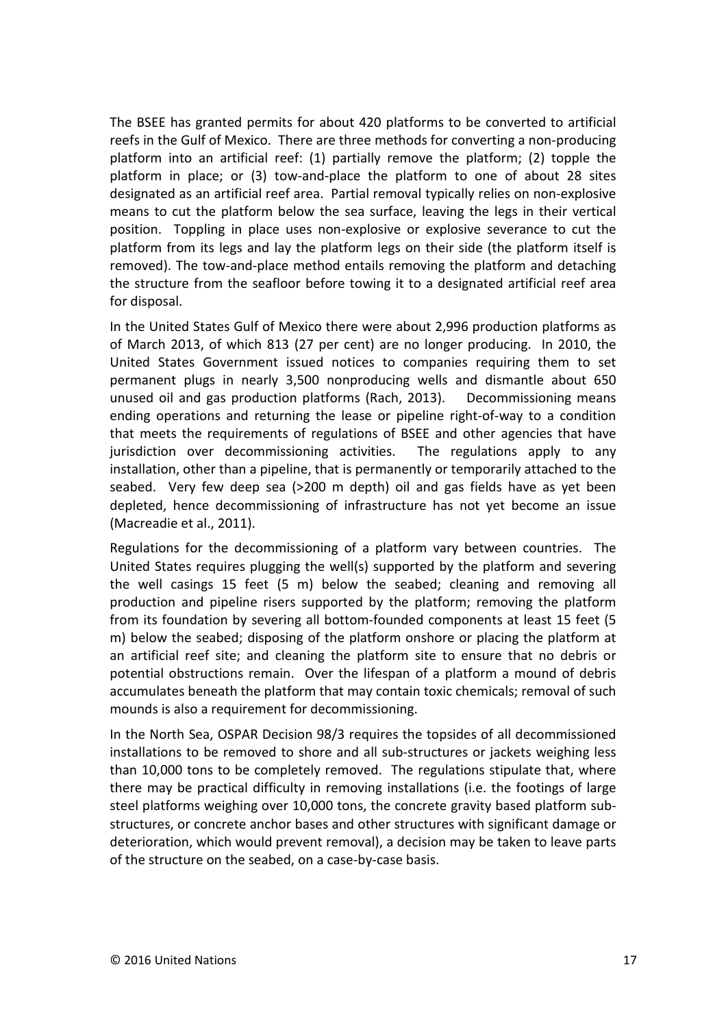The BSEE has granted permits for about 420 platforms to be converted to artificial reefs in the Gulf of Mexico. There are three methods for converting a non-producing platform into an artificial reef: (1) partially remove the platform; (2) topple the platform in place; or (3) tow-and-place the platform to one of about 28 sites designated as an artificial reef area. Partial removal typically relies on non-explosive means to cut the platform below the sea surface, leaving the legs in their vertical position. Toppling in place uses non-explosive or explosive severance to cut the platform from its legs and lay the platform legs on their side (the platform itself is removed). The tow-and-place method entails removing the platform and detaching the structure from the seafloor before towing it to a designated artificial reef area for disposal.

In the United States Gulf of Mexico there were about 2,996 production platforms as of March 2013, of which 813 (27 per cent) are no longer producing. In 2010, the United States Government issued notices to companies requiring them to set permanent plugs in nearly 3,500 nonproducing wells and dismantle about 650 unused oil and gas production platforms (Rach, 2013). Decommissioning means ending operations and returning the lease or pipeline right-of-way to a condition that meets the requirements of regulations of BSEE and other agencies that have jurisdiction over decommissioning activities. The regulations apply to any installation, other than a pipeline, that is permanently or temporarily attached to the seabed. Very few deep sea (>200 m depth) oil and gas fields have as yet been depleted, hence decommissioning of infrastructure has not yet become an issue (Macreadie et al., 2011).

Regulations for the decommissioning of a platform vary between countries. The United States requires plugging the well(s) supported by the platform and severing the well casings 15 feet (5 m) below the seabed; cleaning and removing all production and pipeline risers supported by the platform; removing the platform from its foundation by severing all bottom-founded components at least 15 feet (5 m) below the seabed; disposing of the platform onshore or placing the platform at an artificial reef site; and cleaning the platform site to ensure that no debris or potential obstructions remain. Over the lifespan of a platform a mound of debris accumulates beneath the platform that may contain toxic chemicals; removal of such mounds is also a requirement for decommissioning.

In the North Sea, OSPAR Decision 98/3 requires the topsides of all decommissioned installations to be removed to shore and all sub-structures or jackets weighing less than 10,000 tons to be completely removed. The regulations stipulate that, where there may be practical difficulty in removing installations (i.e. the footings of large steel platforms weighing over 10,000 tons, the concrete gravity based platform substructures, or concrete anchor bases and other structures with significant damage or deterioration, which would prevent removal), a decision may be taken to leave parts of the structure on the seabed, on a case-by-case basis.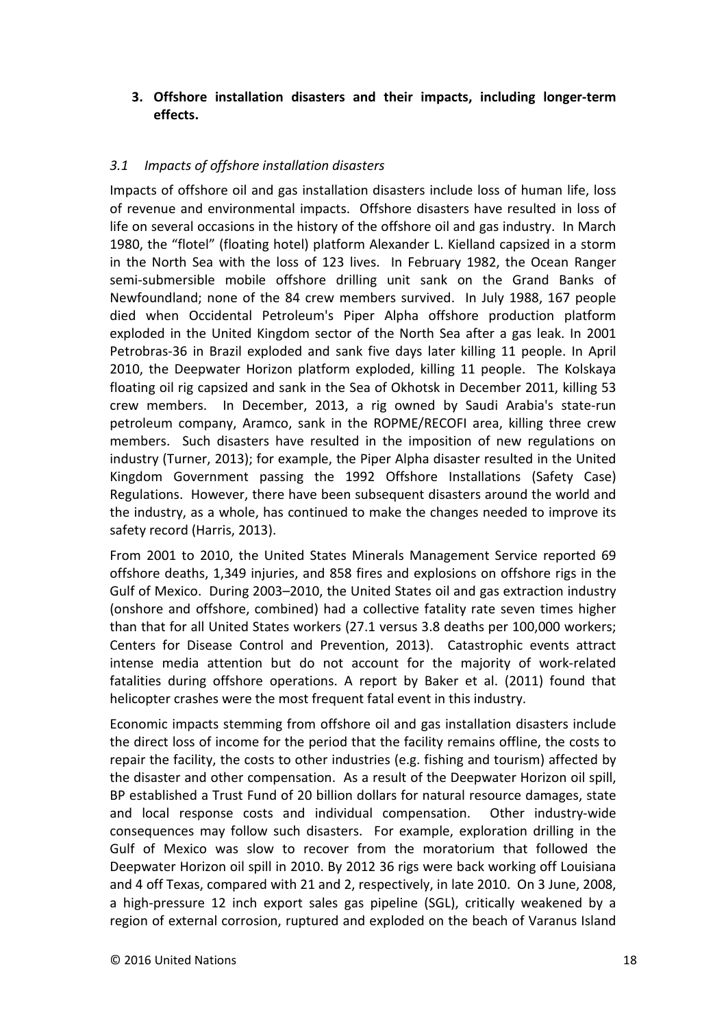## **3. Offshore installation disasters and their impacts, including longer-term effects.**

## *3.1 Impacts of offshore installation disasters*

Impacts of offshore oil and gas installation disasters include loss of human life, loss of revenue and environmental impacts. Offshore disasters have resulted in loss of life on several occasions in the history of the offshore oil and gas industry. In March 1980, the "flotel" (floating hotel) platform Alexander L. Kielland capsized in a storm in the North Sea with the loss of 123 lives. In February 1982, the Ocean Ranger semi-submersible mobile offshore drilling unit sank on the Grand Banks of Newfoundland; none of the 84 crew members survived. In July 1988, 167 people died when Occidental Petroleum's Piper Alpha offshore production platform exploded in the United Kingdom sector of the North Sea after a gas leak. In 2001 Petrobras-36 in Brazil exploded and sank five days later killing 11 people. In April 2010, the Deepwater Horizon platform exploded, killing 11 people. The Kolskaya floating oil rig capsized and sank in the Sea of Okhotsk in December 2011, killing 53 crew members. In December, 2013, a rig owned by Saudi Arabia's state-run petroleum company, Aramco, sank in the ROPME/RECOFI area, killing three crew members. Such disasters have resulted in the imposition of new regulations on industry (Turner, 2013); for example, the Piper Alpha disaster resulted in the United Kingdom Government passing the 1992 Offshore Installations (Safety Case) Regulations. However, there have been subsequent disasters around the world and the industry, as a whole, has continued to make the changes needed to improve its safety record (Harris, 2013).

From 2001 to 2010, the United States Minerals Management Service reported 69 offshore deaths, 1,349 injuries, and 858 fires and explosions on offshore rigs in the Gulf of Mexico. During 2003–2010, the United States oil and gas extraction industry (onshore and offshore, combined) had a collective fatality rate seven times higher than that for all United States workers (27.1 versus 3.8 deaths per 100,000 workers; Centers for Disease Control and Prevention, 2013). Catastrophic events attract intense media attention but do not account for the majority of work-related fatalities during offshore operations. A report by Baker et al. (2011) found that helicopter crashes were the most frequent fatal event in this industry.

Economic impacts stemming from offshore oil and gas installation disasters include the direct loss of income for the period that the facility remains offline, the costs to repair the facility, the costs to other industries (e.g. fishing and tourism) affected by the disaster and other compensation. As a result of the Deepwater Horizon oil spill, BP established a Trust Fund of 20 billion dollars for natural resource damages, state and local response costs and individual compensation. Other industry-wide consequences may follow such disasters. For example, exploration drilling in the Gulf of Mexico was slow to recover from the moratorium that followed the Deepwater Horizon oil spill in 2010. By 2012 36 rigs were back working off Louisiana and 4 off Texas, compared with 21 and 2, respectively, in late 2010. On 3 June, 2008, a high-pressure 12 inch export sales gas pipeline (SGL), critically weakened by a region of external corrosion, ruptured and exploded on the beach of Varanus Island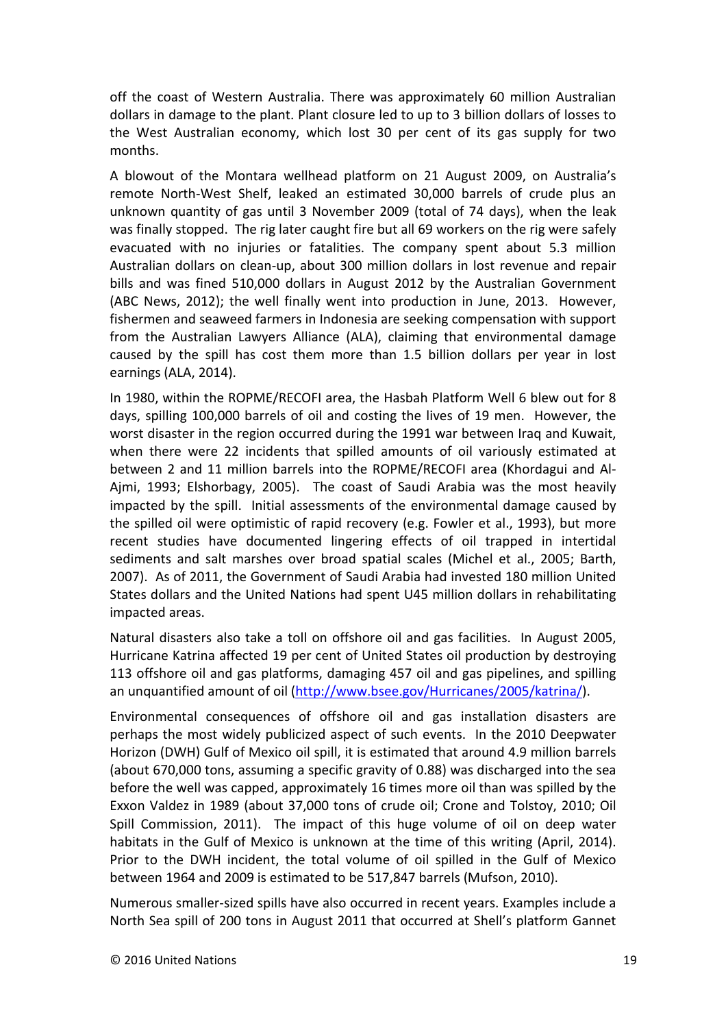off the coast of Western Australia. There was approximately 60 million Australian dollars in damage to the plant. Plant closure led to up to 3 billion dollars of losses to the West Australian economy, which lost 30 per cent of its gas supply for two months.

A blowout of the Montara wellhead platform on 21 August 2009, on Australia's remote North-West Shelf, leaked an estimated 30,000 barrels of crude plus an unknown quantity of gas until 3 November 2009 (total of 74 days), when the leak was finally stopped. The rig later caught fire but all 69 workers on the rig were safely evacuated with no injuries or fatalities. The company spent about 5.3 million Australian dollars on clean-up, about 300 million dollars in lost revenue and repair bills and was fined 510,000 dollars in August 2012 by the Australian Government (ABC News, 2012); the well finally went into production in June, 2013. However, fishermen and seaweed farmers in Indonesia are seeking compensation with support from the Australian Lawyers Alliance (ALA), claiming that environmental damage caused by the spill has cost them more than 1.5 billion dollars per year in lost earnings (ALA, 2014).

In 1980, within the ROPME/RECOFI area, the Hasbah Platform Well 6 blew out for 8 days, spilling 100,000 barrels of oil and costing the lives of 19 men. However, the worst disaster in the region occurred during the 1991 war between Iraq and Kuwait, when there were 22 incidents that spilled amounts of oil variously estimated at between 2 and 11 million barrels into the ROPME/RECOFI area (Khordagui and Al-Ajmi, 1993; Elshorbagy, 2005). The coast of Saudi Arabia was the most heavily impacted by the spill. Initial assessments of the environmental damage caused by the spilled oil were optimistic of rapid recovery (e.g. Fowler et al., 1993), but more recent studies have documented lingering effects of oil trapped in intertidal sediments and salt marshes over broad spatial scales (Michel et al., 2005; Barth, 2007). As of 2011, the Government of Saudi Arabia had invested 180 million United States dollars and the United Nations had spent U45 million dollars in rehabilitating impacted areas.

Natural disasters also take a toll on offshore oil and gas facilities. In August 2005, Hurricane Katrina affected 19 per cent of United States oil production by destroying 113 offshore oil and gas platforms, damaging 457 oil and gas pipelines, and spilling an unquantified amount of oil [\(http://www.bsee.gov/Hurricanes/2005/katrina/\)](http://www.bsee.gov/Hurricanes/2005/katrina/).

Environmental consequences of offshore oil and gas installation disasters are perhaps the most widely publicized aspect of such events. In the 2010 Deepwater Horizon (DWH) Gulf of Mexico oil spill, it is estimated that around 4.9 million barrels (about 670,000 tons, assuming a specific gravity of 0.88) was discharged into the sea before the well was capped, approximately 16 times more oil than was spilled by the Exxon Valdez in 1989 (about 37,000 tons of crude oil; Crone and Tolstoy, 2010; Oil Spill Commission, 2011). The impact of this huge volume of oil on deep water habitats in the Gulf of Mexico is unknown at the time of this writing (April, 2014). Prior to the DWH incident, the total volume of oil spilled in the Gulf of Mexico between 1964 and 2009 is estimated to be 517,847 barrels (Mufson, 2010).

Numerous smaller-sized spills have also occurred in recent years. Examples include a North Sea spill of 200 tons in August 2011 that occurred at Shell's platform Gannet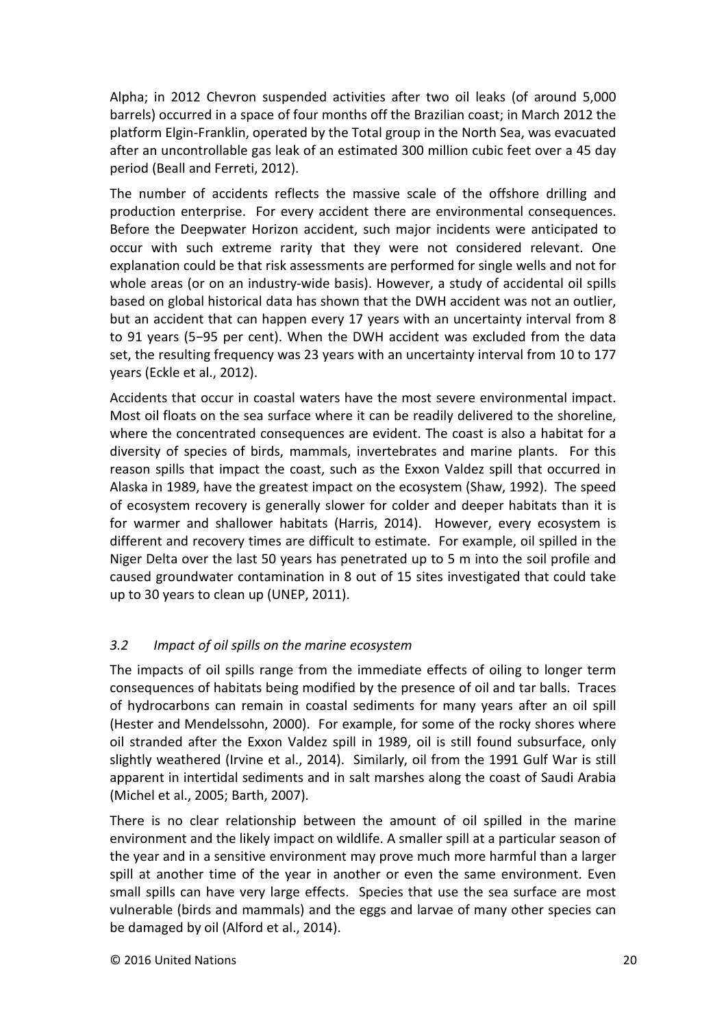Alpha; in 2012 Chevron suspended activities after two oil leaks (of around 5,000 barrels) occurred in a space of four months off the Brazilian coast; in March 2012 the platform Elgin-Franklin, operated by the Total group in the North Sea, was evacuated after an uncontrollable gas leak of an estimated 300 million cubic feet over a 45 day period (Beall and Ferreti, 2012).

The number of accidents reflects the massive scale of the offshore drilling and production enterprise. For every accident there are environmental consequences. Before the Deepwater Horizon accident, such major incidents were anticipated to occur with such extreme rarity that they were not considered relevant. One explanation could be that risk assessments are performed for single wells and not for whole areas (or on an industry-wide basis). However, a study of accidental oil spills based on global historical data has shown that the DWH accident was not an outlier, but an accident that can happen every 17 years with an uncertainty interval from 8 to 91 years (5−95 per cent). When the DWH accident was excluded from the data set, the resulting frequency was 23 years with an uncertainty interval from 10 to 177 years (Eckle et al., 2012).

Accidents that occur in coastal waters have the most severe environmental impact. Most oil floats on the sea surface where it can be readily delivered to the shoreline, where the concentrated consequences are evident. The coast is also a habitat for a diversity of species of birds, mammals, invertebrates and marine plants. For this reason spills that impact the coast, such as the Exxon Valdez spill that occurred in Alaska in 1989, have the greatest impact on the ecosystem (Shaw, 1992). The speed of ecosystem recovery is generally slower for colder and deeper habitats than it is for warmer and shallower habitats (Harris, 2014). However, every ecosystem is different and recovery times are difficult to estimate. For example, oil spilled in the Niger Delta over the last 50 years has penetrated up to 5 m into the soil profile and caused groundwater contamination in 8 out of 15 sites investigated that could take up to 30 years to clean up (UNEP, 2011).

# *3.2 Impact of oil spills on the marine ecosystem*

The impacts of oil spills range from the immediate effects of oiling to longer term consequences of habitats being modified by the presence of oil and tar balls. Traces of hydrocarbons can remain in coastal sediments for many years after an oil spill (Hester and Mendelssohn, 2000). For example, for some of the rocky shores where oil stranded after the Exxon Valdez spill in 1989, oil is still found subsurface, only slightly weathered (Irvine et al., 2014). Similarly, oil from the 1991 Gulf War is still apparent in intertidal sediments and in salt marshes along the coast of Saudi Arabia (Michel et al., 2005; Barth, 2007).

There is no clear relationship between the amount of oil spilled in the marine environment and the likely impact on wildlife. A smaller spill at a particular season of the year and in a sensitive environment may prove much more harmful than a larger spill at another time of the year in another or even the same environment. Even small spills can have very large effects. Species that use the sea surface are most vulnerable (birds and mammals) and the eggs and larvae of many other species can be damaged by oil (Alford et al., 2014).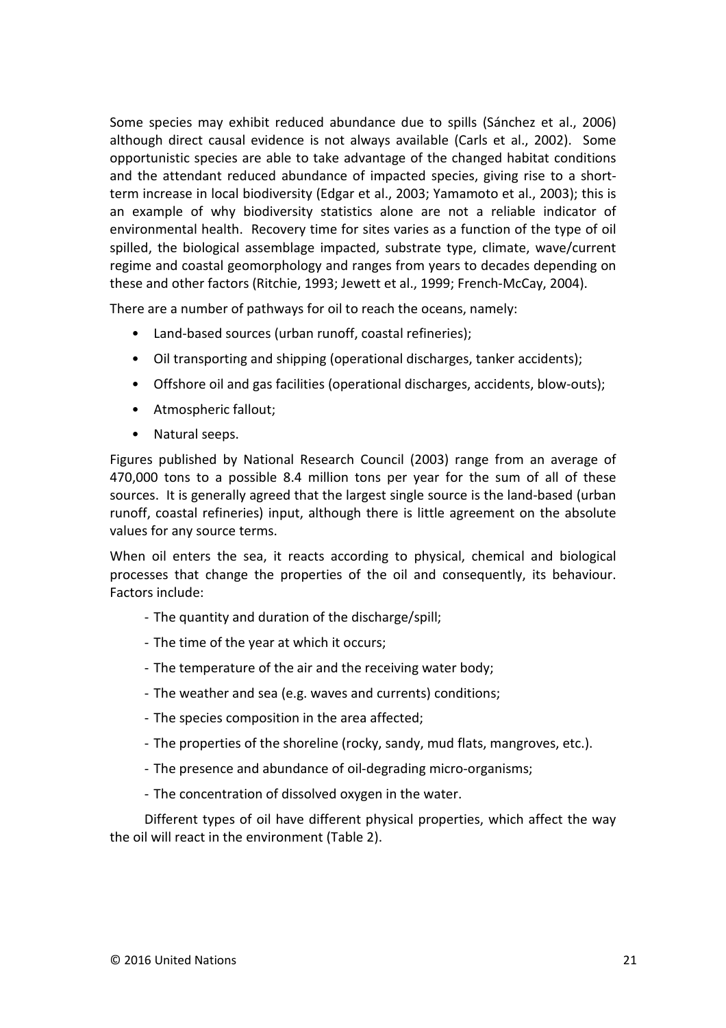Some species may exhibit reduced abundance due to spills (Sánchez et al., 2006) although direct causal evidence is not always available (Carls et al., 2002). Some opportunistic species are able to take advantage of the changed habitat conditions and the attendant reduced abundance of impacted species, giving rise to a shortterm increase in local biodiversity (Edgar et al., 2003; Yamamoto et al., 2003); this is an example of why biodiversity statistics alone are not a reliable indicator of environmental health. Recovery time for sites varies as a function of the type of oil spilled, the biological assemblage impacted, substrate type, climate, wave/current regime and coastal geomorphology and ranges from years to decades depending on these and other factors (Ritchie, 1993; Jewett et al., 1999; French-McCay, 2004).

There are a number of pathways for oil to reach the oceans, namely:

- Land-based sources (urban runoff, coastal refineries);
- Oil transporting and shipping (operational discharges, tanker accidents);
- Offshore oil and gas facilities (operational discharges, accidents, blow-outs);
- Atmospheric fallout;
- Natural seeps.

Figures published by National Research Council (2003) range from an average of 470,000 tons to a possible 8.4 million tons per year for the sum of all of these sources. It is generally agreed that the largest single source is the land-based (urban runoff, coastal refineries) input, although there is little agreement on the absolute values for any source terms.

When oil enters the sea, it reacts according to physical, chemical and biological processes that change the properties of the oil and consequently, its behaviour. Factors include:

- The quantity and duration of the discharge/spill;
- The time of the year at which it occurs;
- The temperature of the air and the receiving water body;
- The weather and sea (e.g. waves and currents) conditions;
- The species composition in the area affected;
- The properties of the shoreline (rocky, sandy, mud flats, mangroves, etc.).
- The presence and abundance of oil-degrading micro-organisms;
- The concentration of dissolved oxygen in the water.

Different types of oil have different physical properties, which affect the way the oil will react in the environment (Table 2).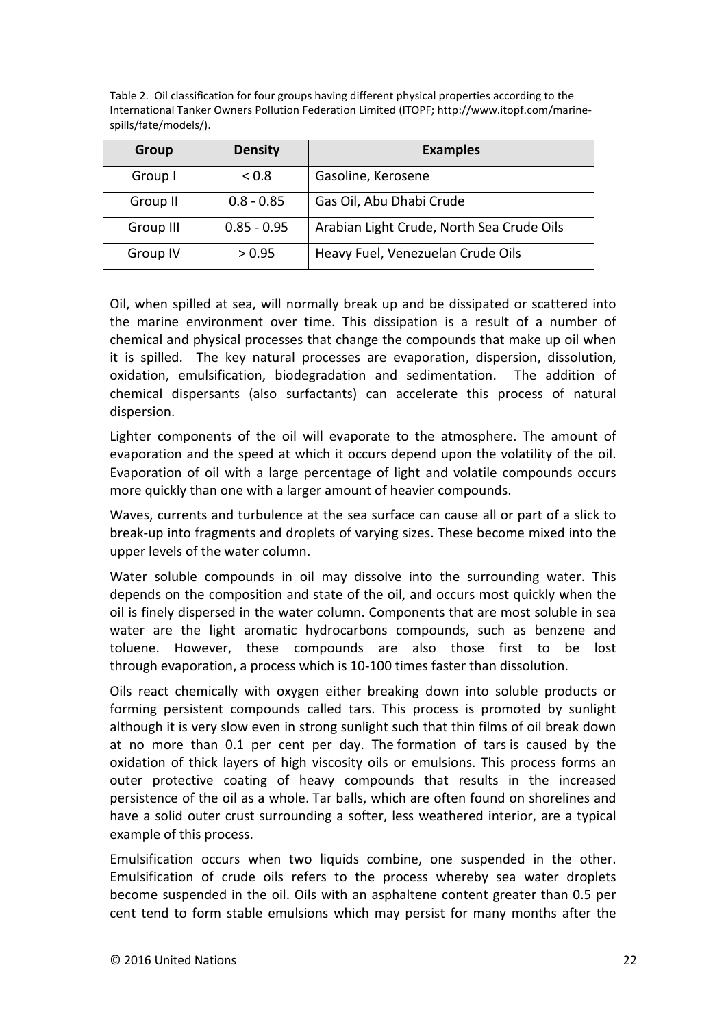Table 2. Oil classification for four groups having different physical properties according to the International Tanker Owners Pollution Federation Limited (ITOPF; http://www.itopf.com/marinespills/fate/models/).

| Group     | <b>Density</b> | <b>Examples</b>                           |
|-----------|----------------|-------------------------------------------|
| Group I   | < 0.8          | Gasoline, Kerosene                        |
| Group II  | $0.8 - 0.85$   | Gas Oil, Abu Dhabi Crude                  |
| Group III | $0.85 - 0.95$  | Arabian Light Crude, North Sea Crude Oils |
| Group IV  | > 0.95         | Heavy Fuel, Venezuelan Crude Oils         |

Oil, when spilled at sea, will normally break up and be dissipated or scattered into the marine environment over time. This dissipation is a result of a number of chemical and physical processes that change the compounds that make up oil when it is spilled. The key natural processes are evaporation, dispersion, dissolution, oxidation, emulsification, biodegradation and sedimentation. The addition of chemical dispersants (also surfactants) can accelerate this process of natural dispersion.

Lighter components of the oil will evaporate to the atmosphere. The amount of evaporation and the speed at which it occurs depend upon the volatility of the oil. Evaporation of oil with a large percentage of light and volatile compounds occurs more quickly than one with a larger amount of heavier compounds.

Waves, currents and turbulence at the sea surface can cause all or part of a slick to break-up into fragments and droplets of varying sizes. These become mixed into the upper levels of the water column.

Water soluble compounds in oil may dissolve into the surrounding water. This depends on the composition and state of the oil, and occurs most quickly when the oil is finely dispersed in the water column. Components that are most soluble in sea water are the light aromatic hydrocarbons compounds, such as benzene and toluene. However, these compounds are also those first to be lost through evaporation, a process which is 10-100 times faster than dissolution.

Oils react chemically with oxygen either breaking down into soluble products or forming persistent compounds called tars. This process is promoted by sunlight although it is very slow even in strong sunlight such that thin films of oil break down at no more than 0.1 per cent per day. The formation of tars is caused by the oxidation of thick layers of high viscosity oils or emulsions. This process forms an outer protective coating of heavy compounds that results in the increased persistence of the oil as a whole. Tar balls, which are often found on shorelines and have a solid outer crust surrounding a softer, less weathered interior, are a typical example of this process.

Emulsification occurs when two liquids combine, one suspended in the other. Emulsification of crude oils refers to the process whereby sea water droplets become suspended in the oil. Oils with an asphaltene content greater than 0.5 per cent tend to form stable emulsions which may persist for many months after the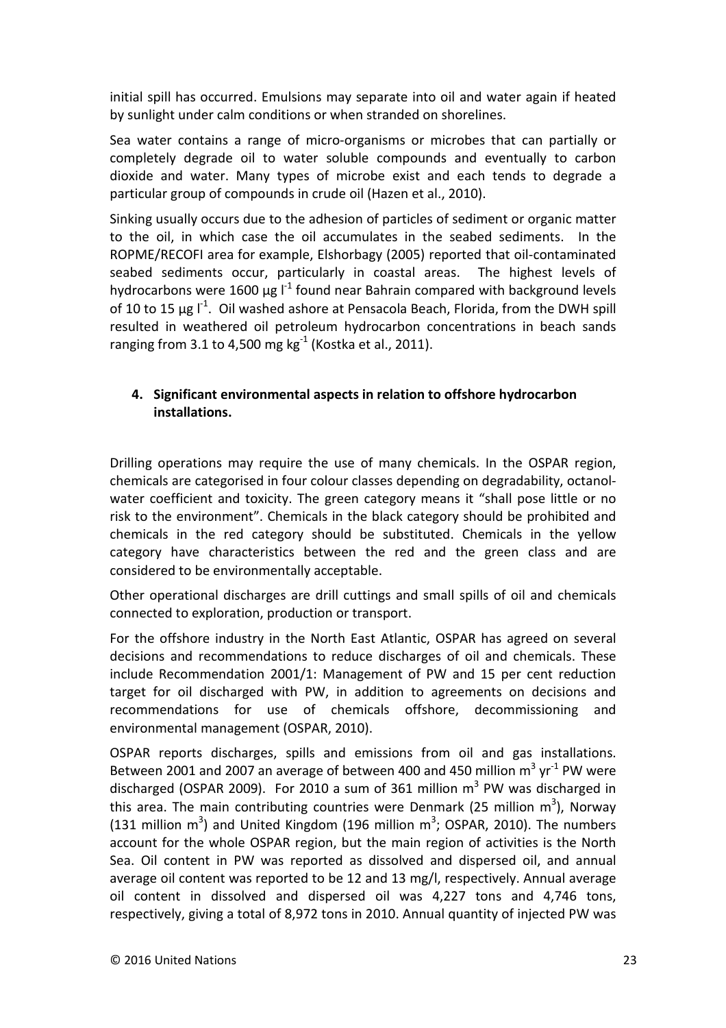initial spill has occurred. Emulsions may separate into oil and water again if heated by sunlight under calm conditions or when stranded on shorelines.

Sea water contains a range of micro-organisms or microbes that can partially or completely degrade oil to water soluble compounds and eventually to carbon dioxide and water. Many types of microbe exist and each tends to degrade a particular group of compounds in crude oil (Hazen et al., 2010).

Sinking usually occurs due to the adhesion of particles of sediment or organic matter to the oil, in which case the oil accumulates in the seabed sediments. In the ROPME/RECOFI area for example, Elshorbagy (2005) reported that oil-contaminated seabed sediments occur, particularly in coastal areas. The highest levels of hydrocarbons were 1600 μg  $I<sup>1</sup>$  found near Bahrain compared with background levels of 10 to 15 μg  $I^{-1}$ . Oil washed ashore at Pensacola Beach, Florida, from the DWH spill resulted in weathered oil petroleum hydrocarbon concentrations in beach sands ranging from 3.1 to 4,500 mg  $kg^{-1}$  (Kostka et al., 2011).

## **4. Significant environmental aspects in relation to offshore hydrocarbon installations.**

Drilling operations may require the use of many chemicals. In the OSPAR region, chemicals are categorised in four colour classes depending on degradability, octanolwater coefficient and toxicity. The green category means it "shall pose little or no risk to the environment". Chemicals in the black category should be prohibited and chemicals in the red category should be substituted. Chemicals in the yellow category have characteristics between the red and the green class and are considered to be environmentally acceptable.

Other operational discharges are drill cuttings and small spills of oil and chemicals connected to exploration, production or transport.

For the offshore industry in the North East Atlantic, OSPAR has agreed on several decisions and recommendations to reduce discharges of oil and chemicals. These include Recommendation 2001/1: Management of PW and 15 per cent reduction target for oil discharged with PW, in addition to agreements on decisions and recommendations for use of chemicals offshore, decommissioning and environmental management (OSPAR, 2010).

OSPAR reports discharges, spills and emissions from oil and gas installations. Between 2001 and 2007 an average of between 400 and 450 million  $m^3$  vr<sup>-1</sup> PW were discharged (OSPAR 2009). For 2010 a sum of 361 million  $m^3$  PW was discharged in this area. The main contributing countries were Denmark (25 million m<sup>3</sup>), Norway (131 million m<sup>3</sup>) and United Kingdom (196 million m<sup>3</sup>; OSPAR, 2010). The numbers account for the whole OSPAR region, but the main region of activities is the North Sea. Oil content in PW was reported as dissolved and dispersed oil, and annual average oil content was reported to be 12 and 13 mg/l, respectively. Annual average oil content in dissolved and dispersed oil was 4,227 tons and 4,746 tons, respectively, giving a total of 8,972 tons in 2010. Annual quantity of injected PW was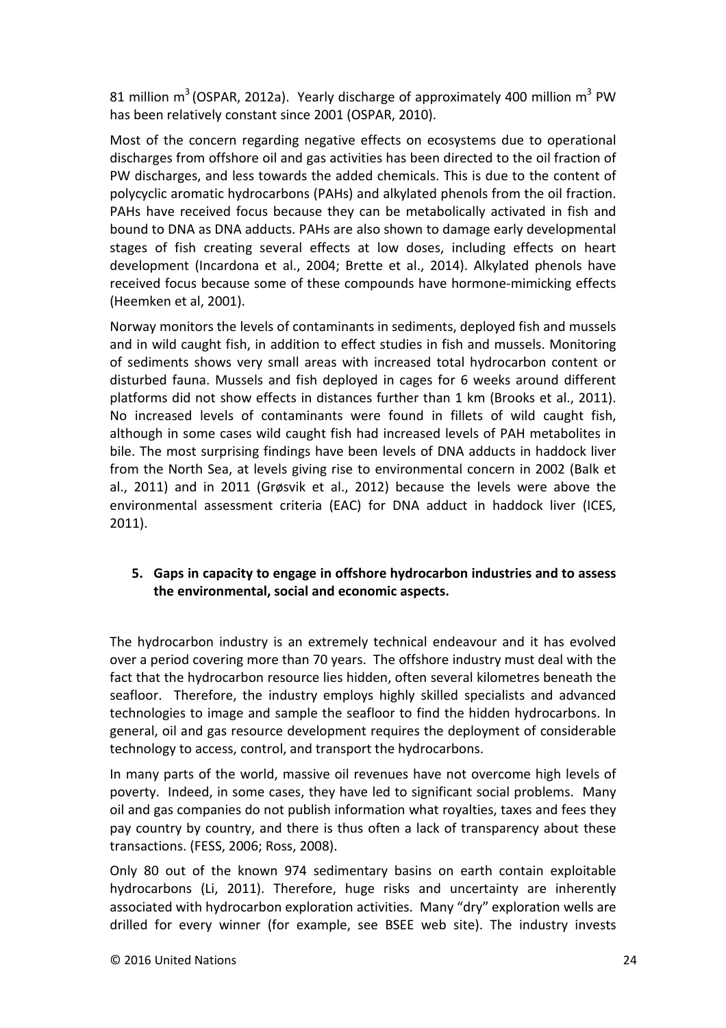81 million  $m^3$  (OSPAR, 2012a). Yearly discharge of approximately 400 million  $m^3$  PW has been relatively constant since 2001 (OSPAR, 2010).

Most of the concern regarding negative effects on ecosystems due to operational discharges from offshore oil and gas activities has been directed to the oil fraction of PW discharges, and less towards the added chemicals. This is due to the content of polycyclic aromatic hydrocarbons (PAHs) and alkylated phenols from the oil fraction. PAHs have received focus because they can be metabolically activated in fish and bound to DNA as DNA adducts. PAHs are also shown to damage early developmental stages of fish creating several effects at low doses, including effects on heart development (Incardona et al., 2004; Brette et al., 2014). Alkylated phenols have received focus because some of these compounds have hormone-mimicking effects (Heemken et al, 2001).

Norway monitors the levels of contaminants in sediments, deployed fish and mussels and in wild caught fish, in addition to effect studies in fish and mussels. Monitoring of sediments shows very small areas with increased total hydrocarbon content or disturbed fauna. Mussels and fish deployed in cages for 6 weeks around different platforms did not show effects in distances further than 1 km (Brooks et al., 2011). No increased levels of contaminants were found in fillets of wild caught fish, although in some cases wild caught fish had increased levels of PAH metabolites in bile. The most surprising findings have been levels of DNA adducts in haddock liver from the North Sea, at levels giving rise to environmental concern in 2002 (Balk et al., 2011) and in 2011 (Grøsvik et al., 2012) because the levels were above the environmental assessment criteria (EAC) for DNA adduct in haddock liver (ICES, 2011).

## **5. Gaps in capacity to engage in offshore hydrocarbon industries and to assess the environmental, social and economic aspects.**

The hydrocarbon industry is an extremely technical endeavour and it has evolved over a period covering more than 70 years. The offshore industry must deal with the fact that the hydrocarbon resource lies hidden, often several kilometres beneath the seafloor. Therefore, the industry employs highly skilled specialists and advanced technologies to image and sample the seafloor to find the hidden hydrocarbons. In general, oil and gas resource development requires the deployment of considerable technology to access, control, and transport the hydrocarbons.

In many parts of the world, massive oil revenues have not overcome high levels of poverty. Indeed, in some cases, they have led to significant social problems. Many oil and gas companies do not publish information what royalties, taxes and fees they pay country by country, and there is thus often a lack of transparency about these transactions. (FESS, 2006; Ross, 2008).

Only 80 out of the known 974 sedimentary basins on earth contain exploitable hydrocarbons (Li, 2011). Therefore, huge risks and uncertainty are inherently associated with hydrocarbon exploration activities. Many "dry" exploration wells are drilled for every winner (for example, see BSEE web site). The industry invests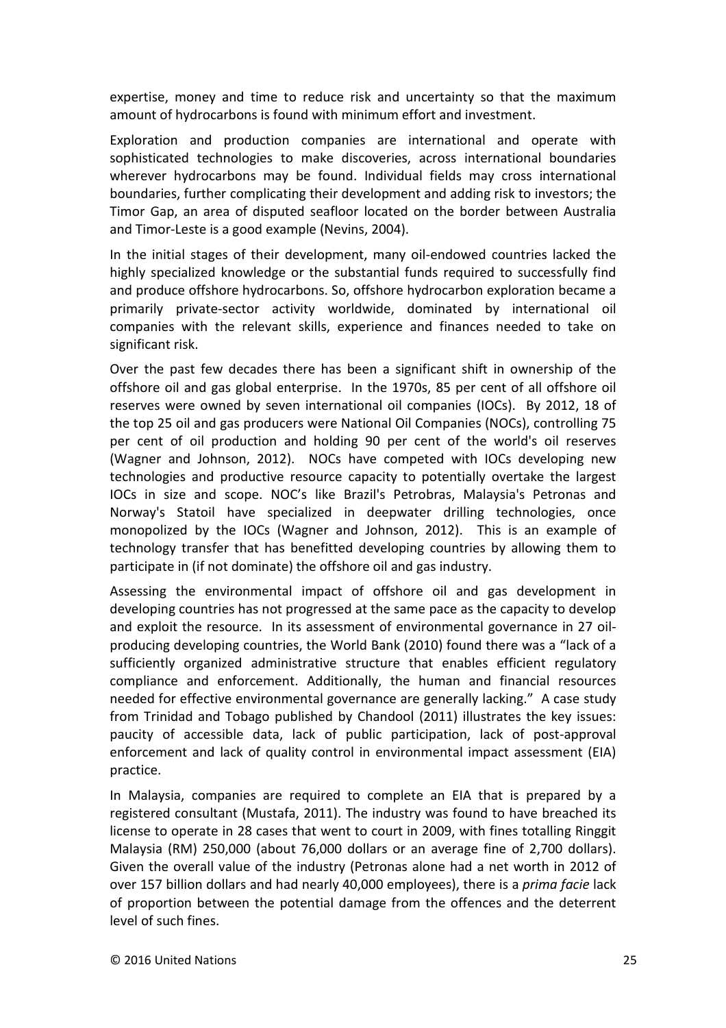expertise, money and time to reduce risk and uncertainty so that the maximum amount of hydrocarbons is found with minimum effort and investment.

Exploration and production companies are international and operate with sophisticated technologies to make discoveries, across international boundaries wherever hydrocarbons may be found. Individual fields may cross international boundaries, further complicating their development and adding risk to investors; the Timor Gap, an area of disputed seafloor located on the border between Australia and Timor-Leste is a good example (Nevins, 2004).

In the initial stages of their development, many oil-endowed countries lacked the highly specialized knowledge or the substantial funds required to successfully find and produce offshore hydrocarbons. So, offshore hydrocarbon exploration became a primarily private-sector activity worldwide, dominated by international oil companies with the relevant skills, experience and finances needed to take on significant risk.

Over the past few decades there has been a significant shift in ownership of the offshore oil and gas global enterprise. In the 1970s, 85 per cent of all offshore oil reserves were owned by seven international oil companies (IOCs). By 2012, 18 of the top 25 oil and gas producers were National Oil Companies (NOCs), controlling 75 per cent of oil production and holding 90 per cent of the world's oil reserves (Wagner and Johnson, 2012). NOCs have competed with IOCs developing new technologies and productive resource capacity to potentially overtake the largest IOCs in size and scope. NOC's like Brazil's Petrobras, Malaysia's Petronas and Norway's Statoil have specialized in deepwater drilling technologies, once monopolized by the IOCs (Wagner and Johnson, 2012). This is an example of technology transfer that has benefitted developing countries by allowing them to participate in (if not dominate) the offshore oil and gas industry.

Assessing the environmental impact of offshore oil and gas development in developing countries has not progressed at the same pace as the capacity to develop and exploit the resource. In its assessment of environmental governance in 27 oilproducing developing countries, the World Bank (2010) found there was a "lack of a sufficiently organized administrative structure that enables efficient regulatory compliance and enforcement. Additionally, the human and financial resources needed for effective environmental governance are generally lacking." A case study from Trinidad and Tobago published by Chandool (2011) illustrates the key issues: paucity of accessible data, lack of public participation, lack of post-approval enforcement and lack of quality control in environmental impact assessment (EIA) practice.

In Malaysia, companies are required to complete an EIA that is prepared by a registered consultant (Mustafa, 2011). The industry was found to have breached its license to operate in 28 cases that went to court in 2009, with fines totalling Ringgit Malaysia (RM) 250,000 (about 76,000 dollars or an average fine of 2,700 dollars). Given the overall value of the industry (Petronas alone had a net worth in 2012 of over 157 billion dollars and had nearly 40,000 employees), there is a *prima facie* lack of proportion between the potential damage from the offences and the deterrent level of such fines.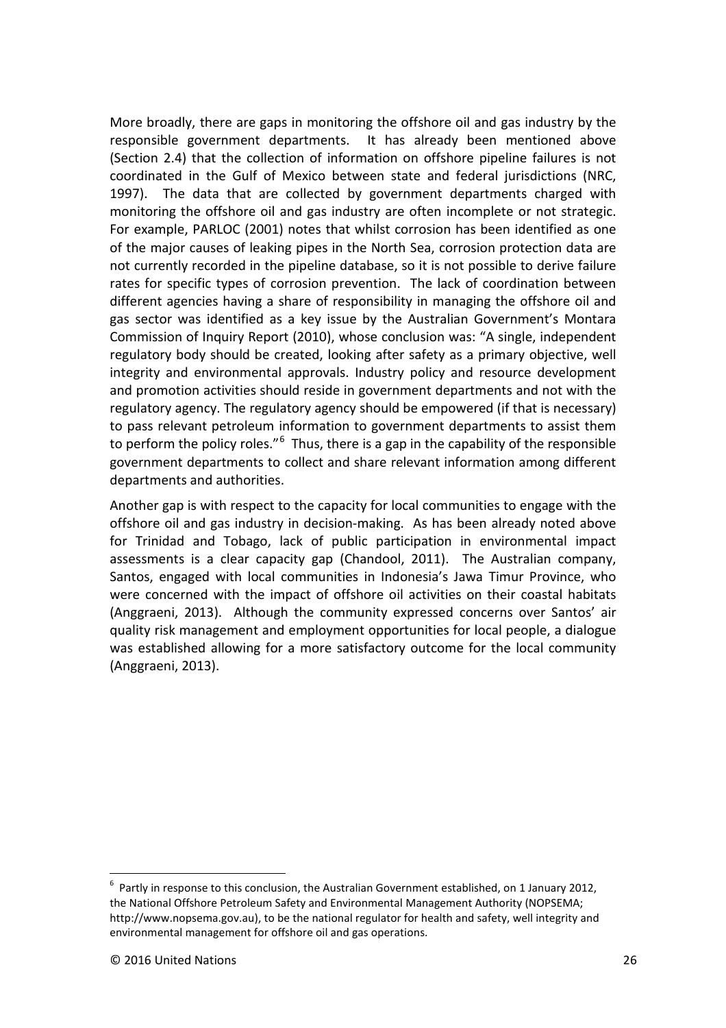More broadly, there are gaps in monitoring the offshore oil and gas industry by the responsible government departments. It has already been mentioned above (Section 2.4) that the collection of information on offshore pipeline failures is not coordinated in the Gulf of Mexico between state and federal jurisdictions (NRC, 1997). The data that are collected by government departments charged with monitoring the offshore oil and gas industry are often incomplete or not strategic. For example, PARLOC (2001) notes that whilst corrosion has been identified as one of the major causes of leaking pipes in the North Sea, corrosion protection data are not currently recorded in the pipeline database, so it is not possible to derive failure rates for specific types of corrosion prevention. The lack of coordination between different agencies having a share of responsibility in managing the offshore oil and gas sector was identified as a key issue by the Australian Government's Montara Commission of Inquiry Report (2010), whose conclusion was: "A single, independent regulatory body should be created, looking after safety as a primary objective, well integrity and environmental approvals. Industry policy and resource development and promotion activities should reside in government departments and not with the regulatory agency. The regulatory agency should be empowered (if that is necessary) to pass relevant petroleum information to government departments to assist them to perform the policy roles."<sup>[6](#page-25-0)</sup> Thus, there is a gap in the capability of the responsible government departments to collect and share relevant information among different departments and authorities.

Another gap is with respect to the capacity for local communities to engage with the offshore oil and gas industry in decision-making. As has been already noted above for Trinidad and Tobago, lack of public participation in environmental impact assessments is a clear capacity gap (Chandool, 2011). The Australian company, Santos, engaged with local communities in Indonesia's Jawa Timur Province, who were concerned with the impact of offshore oil activities on their coastal habitats (Anggraeni, 2013). Although the community expressed concerns over Santos' air quality risk management and employment opportunities for local people, a dialogue was established allowing for a more satisfactory outcome for the local community (Anggraeni, 2013).

 $\overline{a}$ 

<span id="page-25-0"></span> $<sup>6</sup>$  Partly in response to this conclusion, the Australian Government established, on 1 January 2012,</sup> the National Offshore Petroleum Safety and Environmental Management Authority (NOPSEMA; http://www.nopsema.gov.au), to be the national regulator for health and safety, well integrity and environmental management for offshore oil and gas operations.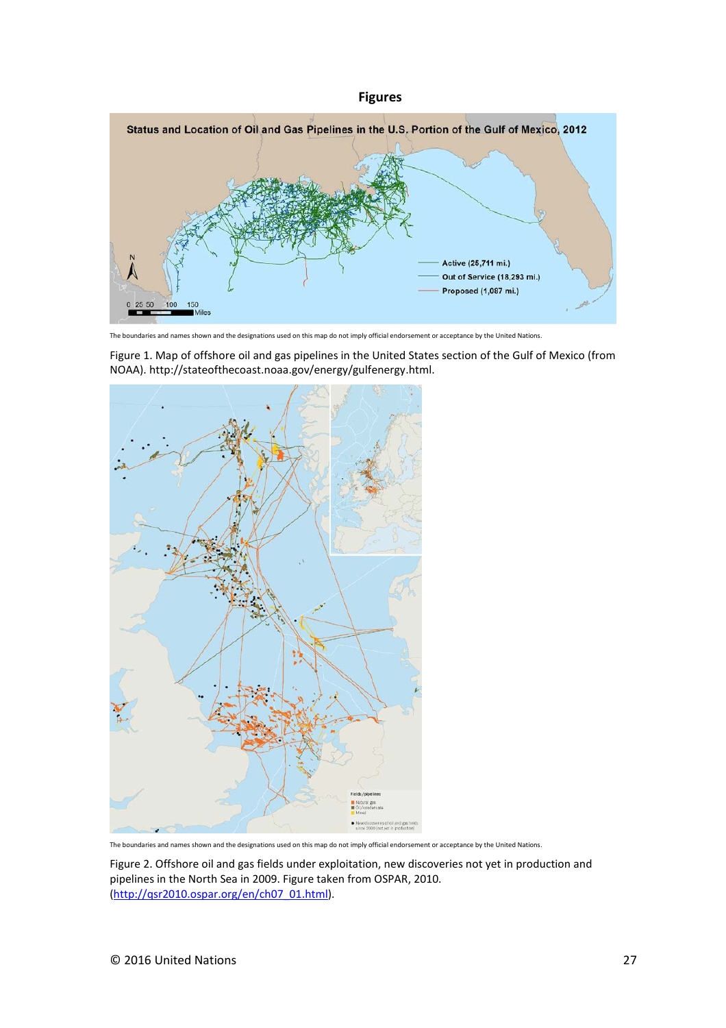#### **Figures**



The boundaries and names shown and the designations used on this map do not imply official endorsement or acceptance by the United Nations.



Figure 1. Map of offshore oil and gas pipelines in the United States section of the Gulf of Mexico (from NOAA). http://stateofthecoast.noaa.gov/energy/gulfenergy.html.

The boundaries and names shown and the designations used on this map do not imply official endorsement or acceptance by the United Nations.

Figure 2. Offshore oil and gas fields under exploitation, new discoveries not yet in production and pipelines in the North Sea in 2009. Figure taken from OSPAR, 2010. [\(http://qsr2010.ospar.org/en/ch07\\_01.html\)](http://qsr2010.ospar.org/en/ch07_01.html).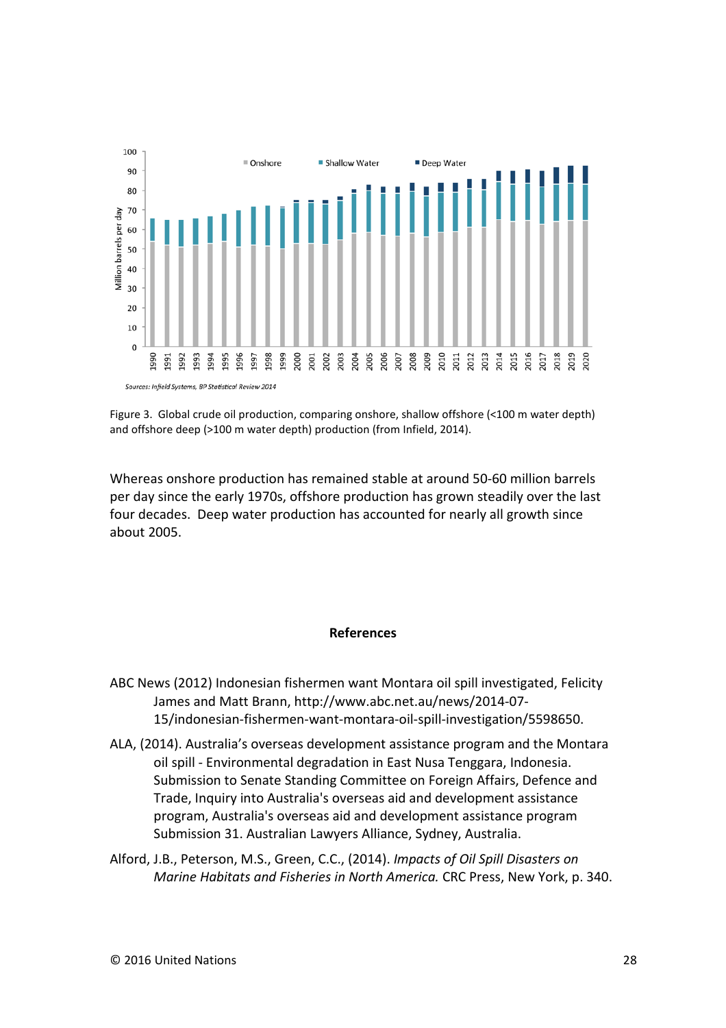

Sources: Infield Systems, BP Statistical Review 2014

Figure 3. Global crude oil production, comparing onshore, shallow offshore (<100 m water depth) and offshore deep (>100 m water depth) production (from Infield, 2014).

Whereas onshore production has remained stable at around 50-60 million barrels per day since the early 1970s, offshore production has grown steadily over the last four decades. Deep water production has accounted for nearly all growth since about 2005.

#### **References**

- ABC News (2012) Indonesian fishermen want Montara oil spill investigated, Felicity James and Matt Brann, http://www.abc.net.au/news/2014-07- 15/indonesian-fishermen-want-montara-oil-spill-investigation/5598650.
- ALA, (2014). Australia's overseas development assistance program and the Montara oil spill - Environmental degradation in East Nusa Tenggara, Indonesia. Submission to Senate Standing Committee on Foreign Affairs, Defence and Trade, Inquiry into Australia's overseas aid and development assistance program, Australia's overseas aid and development assistance program Submission 31. Australian Lawyers Alliance, Sydney, Australia.
- Alford, J.B., Peterson, M.S., Green, C.C., (2014). *Impacts of Oil Spill Disasters on Marine Habitats and Fisheries in North America.* CRC Press, New York, p. 340.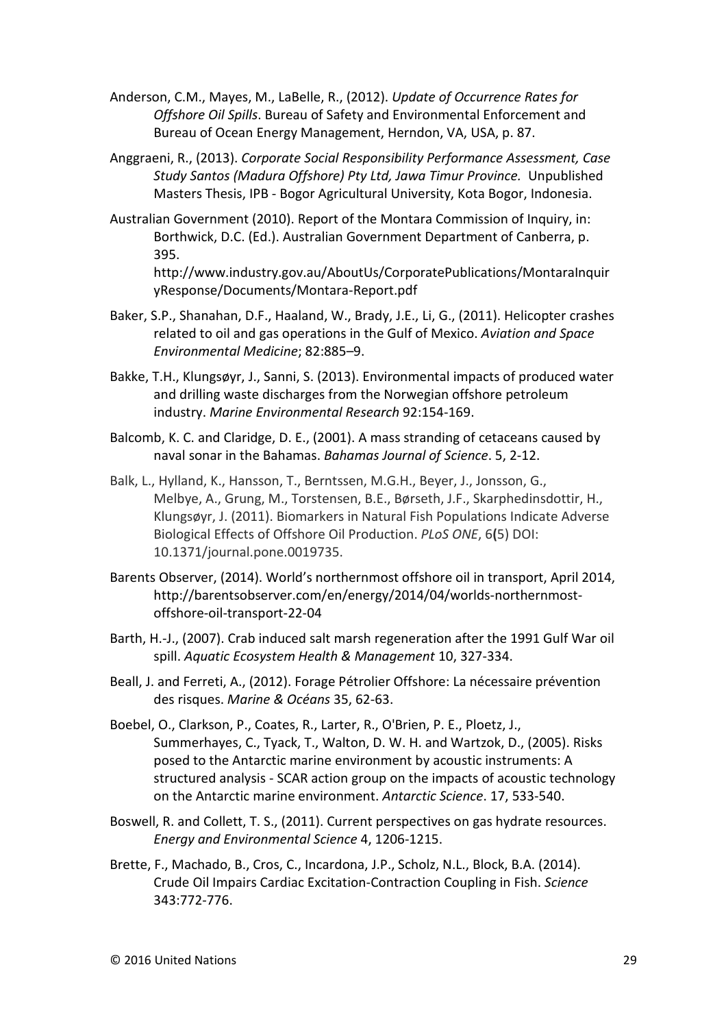- Anderson, C.M., Mayes, M., LaBelle, R., (2012). *Update of Occurrence Rates for Offshore Oil Spills*. Bureau of Safety and Environmental Enforcement and Bureau of Ocean Energy Management, Herndon, VA, USA, p. 87.
- Anggraeni, R., (2013). *Corporate Social Responsibility Performance Assessment, Case Study Santos (Madura Offshore) Pty Ltd, Jawa Timur Province.* Unpublished Masters Thesis, IPB - Bogor Agricultural University, Kota Bogor, Indonesia.
- Australian Government (2010). Report of the Montara Commission of Inquiry, in: Borthwick, D.C. (Ed.). Australian Government Department of Canberra, p. 395.

http://www.industry.gov.au/AboutUs/CorporatePublications/MontaraInquir yResponse/Documents/Montara-Report.pdf

- Baker, S.P., Shanahan, D.F., Haaland, W., Brady, J.E., Li, G., (2011). Helicopter crashes related to oil and gas operations in the Gulf of Mexico. *Aviation and Space Environmental Medicine*; 82:885–9.
- Bakke, T.H., Klungsøyr, J., Sanni, S. (2013). Environmental impacts of produced water and drilling waste discharges from the Norwegian offshore petroleum industry. *Marine Environmental Research* 92:154-169.
- Balcomb, K. C. and Claridge, D. E., (2001). A mass stranding of cetaceans caused by naval sonar in the Bahamas. *Bahamas Journal of Science*. 5, 2-12.
- Balk, L., Hylland, K., Hansson, T., Berntssen, M.G.H., Beyer, J., Jonsson, G., Melbye, A., Grung, M., Torstensen, B.E., Børseth, J.F., Skarphedinsdottir, H., Klungsøyr, J. (2011). Biomarkers in Natural Fish Populations Indicate Adverse Biological Effects of Offshore Oil Production. *PLoS ONE*, 6**(**5) DOI: 10.1371/journal.pone.0019735.
- Barents Observer, (2014). World's northernmost offshore oil in transport, April 2014, http://barentsobserver.com/en/energy/2014/04/worlds-northernmostoffshore-oil-transport-22-04
- Barth, H.-J., (2007). Crab induced salt marsh regeneration after the 1991 Gulf War oil spill. *Aquatic Ecosystem Health & Management* 10, 327-334.
- Beall, J. and Ferreti, A., (2012). Forage Pétrolier Offshore: La nécessaire prévention des risques. *Marine & Océans* 35, 62-63.
- Boebel, O., Clarkson, P., Coates, R., Larter, R., O'Brien, P. E., Ploetz, J., Summerhayes, C., Tyack, T., Walton, D. W. H. and Wartzok, D., (2005). Risks posed to the Antarctic marine environment by acoustic instruments: A structured analysis - SCAR action group on the impacts of acoustic technology on the Antarctic marine environment. *Antarctic Science*. 17, 533-540.
- Boswell, R. and Collett, T. S., (2011). Current perspectives on gas hydrate resources. *Energy and Environmental Science* 4, 1206-1215.
- Brette, F., Machado, B., Cros, C., Incardona, J.P., Scholz, N.L., Block, B.A. (2014). Crude Oil Impairs Cardiac Excitation-Contraction Coupling in Fish. *Science* 343:772-776.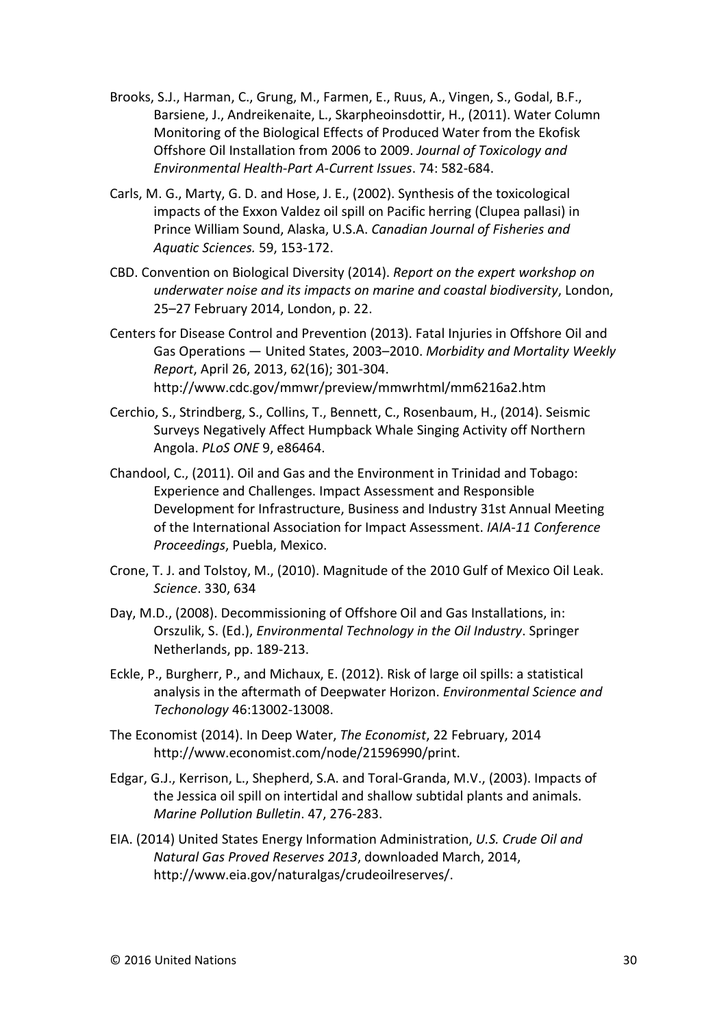- Brooks, S.J., Harman, C., Grung, M., Farmen, E., Ruus, A., Vingen, S., Godal, B.F., Barsiene, J., Andreikenaite, L., Skarpheoinsdottir, H., (2011). Water Column Monitoring of the Biological Effects of Produced Water from the Ekofisk Offshore Oil Installation from 2006 to 2009. *Journal of Toxicology and Environmental Health-Part A-Current Issues*. 74: 582-684.
- Carls, M. G., Marty, G. D. and Hose, J. E., (2002). Synthesis of the toxicological impacts of the Exxon Valdez oil spill on Pacific herring (Clupea pallasi) in Prince William Sound, Alaska, U.S.A. *Canadian Journal of Fisheries and Aquatic Sciences.* 59, 153-172.
- CBD. Convention on Biological Diversity (2014). *Report on the expert workshop on underwater noise and its impacts on marine and coastal biodiversity*, London, 25–27 February 2014, London, p. 22.
- Centers for Disease Control and Prevention (2013). Fatal Injuries in Offshore Oil and Gas Operations — United States, 2003–2010. *Morbidity and Mortality Weekly Report*, April 26, 2013, 62(16); 301-304. http://www.cdc.gov/mmwr/preview/mmwrhtml/mm6216a2.htm
- Cerchio, S., Strindberg, S., Collins, T., Bennett, C., Rosenbaum, H., (2014). Seismic Surveys Negatively Affect Humpback Whale Singing Activity off Northern Angola. *PLoS ONE* 9, e86464.
- Chandool, C., (2011). Oil and Gas and the Environment in Trinidad and Tobago: Experience and Challenges. Impact Assessment and Responsible Development for Infrastructure, Business and Industry 31st Annual Meeting of the International Association for Impact Assessment. *IAIA-11 Conference Proceedings*, Puebla, Mexico.
- Crone, T. J. and Tolstoy, M., (2010). Magnitude of the 2010 Gulf of Mexico Oil Leak. *Science*. 330, 634
- Day, M.D., (2008). Decommissioning of Offshore Oil and Gas Installations, in: Orszulik, S. (Ed.), *Environmental Technology in the Oil Industry*. Springer Netherlands, pp. 189-213.
- Eckle, P., Burgherr, P., and Michaux, E. (2012). Risk of large oil spills: a statistical analysis in the aftermath of Deepwater Horizon. *Environmental Science and Techonology* 46:13002-13008.
- The Economist (2014). In Deep Water, *The Economist*, 22 February, 2014 http://www.economist.com/node/21596990/print.
- Edgar, G.J., Kerrison, L., Shepherd, S.A. and Toral-Granda, M.V., (2003). Impacts of the Jessica oil spill on intertidal and shallow subtidal plants and animals. *Marine Pollution Bulletin*. 47, 276-283.
- EIA. (2014) United States Energy Information Administration, *U.S. Crude Oil and Natural Gas Proved Reserves 2013*, downloaded March, 2014, http://www.eia.gov/naturalgas/crudeoilreserves/.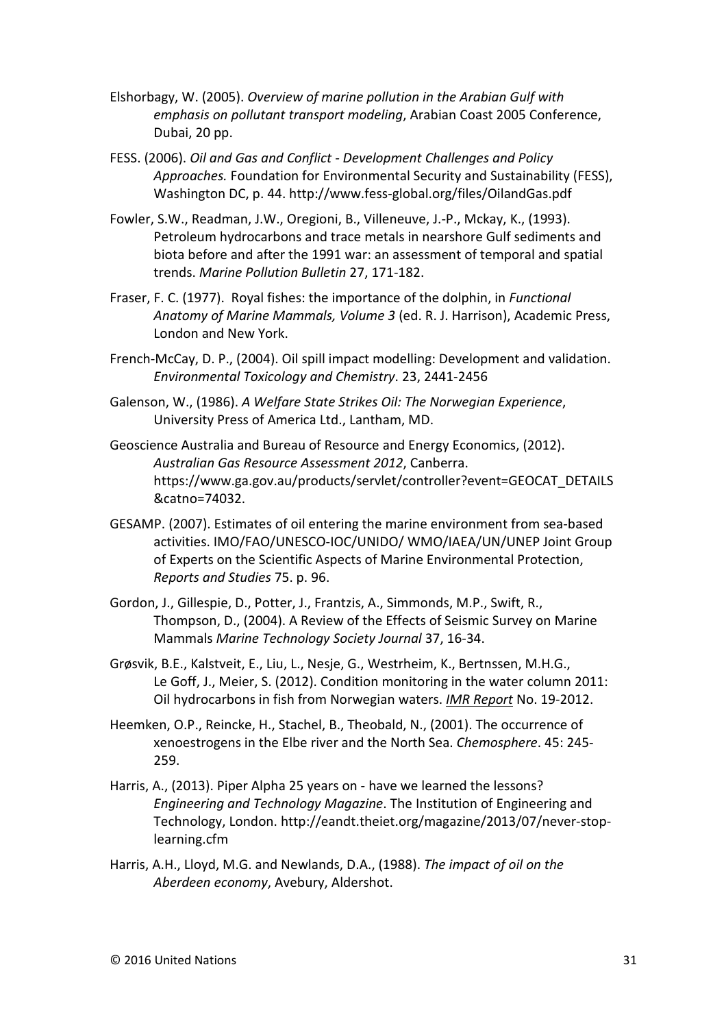- Elshorbagy, W. (2005). *Overview of marine pollution in the Arabian Gulf with emphasis on pollutant transport modeling*, Arabian Coast 2005 Conference, Dubai, 20 pp.
- FESS. (2006). *Oil and Gas and Conflict - Development Challenges and Policy Approaches.* Foundation for Environmental Security and Sustainability (FESS), Washington DC, p. 44. http://www.fess-global.org/files/OilandGas.pdf
- Fowler, S.W., Readman, J.W., Oregioni, B., Villeneuve, J.-P., Mckay, K., (1993). Petroleum hydrocarbons and trace metals in nearshore Gulf sediments and biota before and after the 1991 war: an assessment of temporal and spatial trends. *Marine Pollution Bulletin* 27, 171-182.
- Fraser, F. C. (1977). Royal fishes: the importance of the dolphin, in *Functional Anatomy of Marine Mammals, Volume 3* (ed. R. J. Harrison), Academic Press, London and New York.
- French-McCay, D. P., (2004). Oil spill impact modelling: Development and validation. *Environmental Toxicology and Chemistry*. 23, 2441-2456
- Galenson, W., (1986). *A Welfare State Strikes Oil: The Norwegian Experience*, University Press of America Ltd., Lantham, MD.
- Geoscience Australia and Bureau of Resource and Energy Economics, (2012). *Australian Gas Resource Assessment 2012*, Canberra. https://www.ga.gov.au/products/servlet/controller?event=GEOCAT\_DETAILS &catno=74032.
- GESAMP. (2007). Estimates of oil entering the marine environment from sea-based activities. IMO/FAO/UNESCO-IOC/UNIDO/ WMO/IAEA/UN/UNEP Joint Group of Experts on the Scientific Aspects of Marine Environmental Protection, *Reports and Studies* 75. p. 96.
- Gordon, J., Gillespie, D., Potter, J., Frantzis, A., Simmonds, M.P., Swift, R., Thompson, D., (2004). A Review of the Effects of Seismic Survey on Marine Mammals *Marine Technology Society Journal* 37, 16-34.
- Grøsvik, B.E., Kalstveit, E., Liu, L., Nesje, G., Westrheim, K., Bertnssen, M.H.G., Le Goff, J., Meier, S. (2012). Condition monitoring in the water column 2011: Oil hydrocarbons in fish from Norwegian waters. *IMR Report* No. 19-2012.
- Heemken, O.P., Reincke, H., Stachel, B., Theobald, N., (2001). The occurrence of xenoestrogens in the Elbe river and the North Sea. *Chemosphere*. 45: 245- 259.
- Harris, A., (2013). Piper Alpha 25 years on have we learned the lessons? *Engineering and Technology Magazine*. The Institution of Engineering and Technology, London. http://eandt.theiet.org/magazine/2013/07/never-stoplearning.cfm
- Harris, A.H., Lloyd, M.G. and Newlands, D.A., (1988). *The impact of oil on the Aberdeen economy*, Avebury, Aldershot.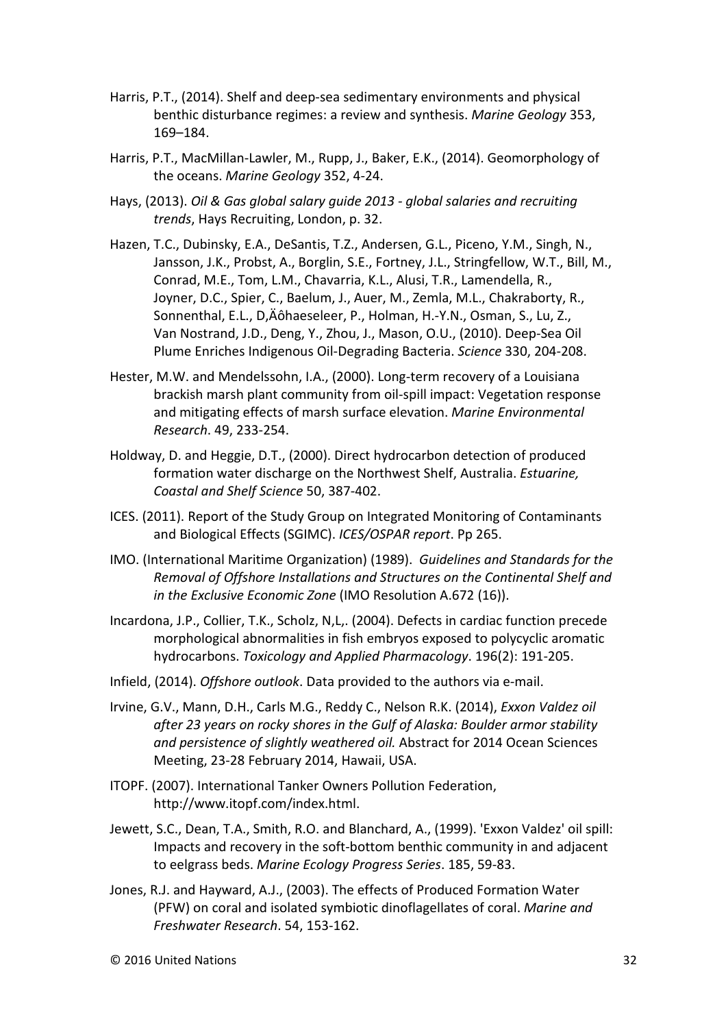- Harris, P.T., (2014). Shelf and deep-sea sedimentary environments and physical benthic disturbance regimes: a review and synthesis. *Marine Geology* 353, 169–184.
- Harris, P.T., MacMillan-Lawler, M., Rupp, J., Baker, E.K., (2014). Geomorphology of the oceans. *Marine Geology* 352, 4-24.
- Hays, (2013). *Oil & Gas global salary guide 2013 - global salaries and recruiting trends*, Hays Recruiting, London, p. 32.
- Hazen, T.C., Dubinsky, E.A., DeSantis, T.Z., Andersen, G.L., Piceno, Y.M., Singh, N., Jansson, J.K., Probst, A., Borglin, S.E., Fortney, J.L., Stringfellow, W.T., Bill, M., Conrad, M.E., Tom, L.M., Chavarria, K.L., Alusi, T.R., Lamendella, R., Joyner, D.C., Spier, C., Baelum, J., Auer, M., Zemla, M.L., Chakraborty, R., Sonnenthal, E.L., D,Äôhaeseleer, P., Holman, H.-Y.N., Osman, S., Lu, Z., Van Nostrand, J.D., Deng, Y., Zhou, J., Mason, O.U., (2010). Deep-Sea Oil Plume Enriches Indigenous Oil-Degrading Bacteria. *Science* 330, 204-208.
- Hester, M.W. and Mendelssohn, I.A., (2000). Long-term recovery of a Louisiana brackish marsh plant community from oil-spill impact: Vegetation response and mitigating effects of marsh surface elevation. *Marine Environmental Research*. 49, 233-254.
- Holdway, D. and Heggie, D.T., (2000). Direct hydrocarbon detection of produced formation water discharge on the Northwest Shelf, Australia. *Estuarine, Coastal and Shelf Science* 50, 387-402.
- ICES. (2011). Report of the Study Group on Integrated Monitoring of Contaminants and Biological Effects (SGIMC). *ICES/OSPAR report*. Pp 265.
- IMO. (International Maritime Organization) (1989). *Guidelines and Standards for the Removal of Offshore Installations and Structures on the Continental Shelf and in the Exclusive Economic Zone* (IMO Resolution A.672 (16)).
- Incardona, J.P., Collier, T.K., Scholz, N,L,. (2004). Defects in cardiac function precede morphological abnormalities in fish embryos exposed to polycyclic aromatic hydrocarbons. *Toxicology and Applied Pharmacology*. 196(2): 191-205.
- Infield, (2014). *Offshore outlook*. Data provided to the authors via e-mail.
- Irvine, G.V., Mann, D.H., Carls M.G., Reddy C., Nelson R.K. (2014), *Exxon Valdez oil after 23 years on rocky shores in the Gulf of Alaska: Boulder armor stability and persistence of slightly weathered oil.* Abstract for 2014 Ocean Sciences Meeting, 23-28 February 2014, Hawaii, USA.
- ITOPF. (2007). International Tanker Owners Pollution Federation, http://www.itopf.com/index.html.
- Jewett, S.C., Dean, T.A., Smith, R.O. and Blanchard, A., (1999). 'Exxon Valdez' oil spill: Impacts and recovery in the soft-bottom benthic community in and adjacent to eelgrass beds. *Marine Ecology Progress Series*. 185, 59-83.
- Jones, R.J. and Hayward, A.J., (2003). The effects of Produced Formation Water (PFW) on coral and isolated symbiotic dinoflagellates of coral. *Marine and Freshwater Research*. 54, 153-162.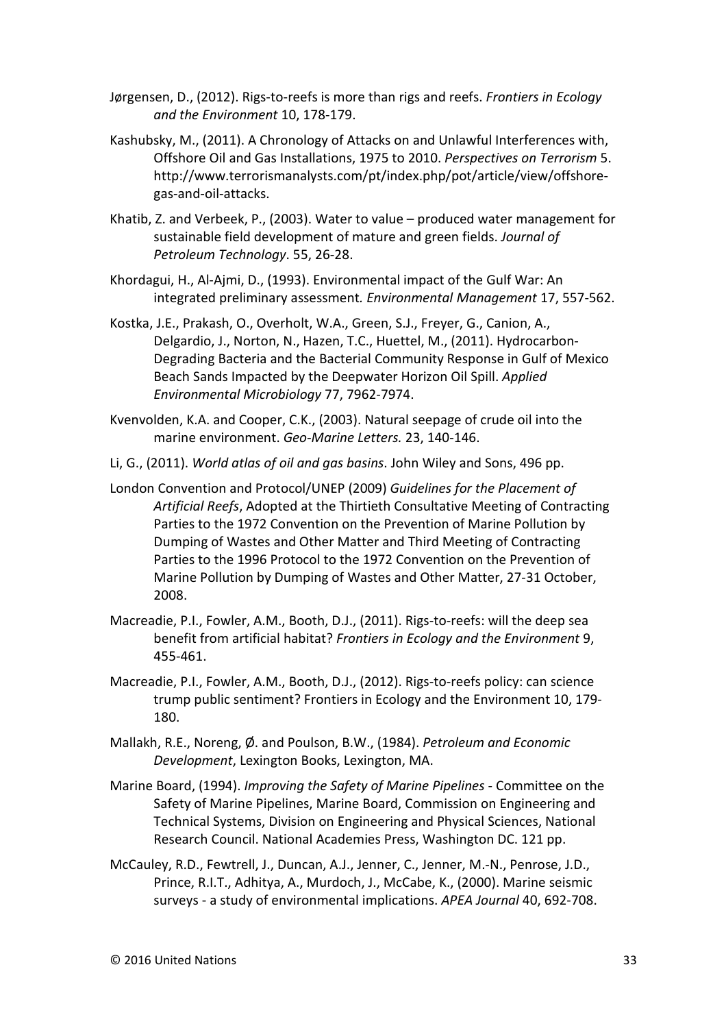- Jørgensen, D., (2012). Rigs-to-reefs is more than rigs and reefs. *Frontiers in Ecology and the Environment* 10, 178-179.
- Kashubsky, M., (2011). A Chronology of Attacks on and Unlawful Interferences with, Offshore Oil and Gas Installations, 1975 to 2010. *Perspectives on Terrorism* 5. http://www.terrorismanalysts.com/pt/index.php/pot/article/view/offshoregas-and-oil-attacks.
- Khatib, Z. and Verbeek, P., (2003). Water to value produced water management for sustainable field development of mature and green fields. *Journal of Petroleum Technology*. 55, 26-28.
- Khordagui, H., Al-Ajmi, D., (1993). Environmental impact of the Gulf War: An integrated preliminary assessment*. Environmental Management* 17, 557-562.
- Kostka, J.E., Prakash, O., Overholt, W.A., Green, S.J., Freyer, G., Canion, A., Delgardio, J., Norton, N., Hazen, T.C., Huettel, M., (2011). Hydrocarbon-Degrading Bacteria and the Bacterial Community Response in Gulf of Mexico Beach Sands Impacted by the Deepwater Horizon Oil Spill. *Applied Environmental Microbiology* 77, 7962-7974.
- Kvenvolden, K.A. and Cooper, C.K., (2003). Natural seepage of crude oil into the marine environment. *Geo-Marine Letters.* 23, 140-146.
- Li, G., (2011). *World atlas of oil and gas basins*. John Wiley and Sons, 496 pp.
- London Convention and Protocol/UNEP (2009) *Guidelines for the Placement of Artificial Reefs*, Adopted at the Thirtieth Consultative Meeting of Contracting Parties to the 1972 Convention on the Prevention of Marine Pollution by Dumping of Wastes and Other Matter and Third Meeting of Contracting Parties to the 1996 Protocol to the 1972 Convention on the Prevention of Marine Pollution by Dumping of Wastes and Other Matter, 27-31 October, 2008.
- Macreadie, P.I., Fowler, A.M., Booth, D.J., (2011). Rigs-to-reefs: will the deep sea benefit from artificial habitat? *Frontiers in Ecology and the Environment* 9, 455-461.
- Macreadie, P.I., Fowler, A.M., Booth, D.J., (2012). Rigs-to-reefs policy: can science trump public sentiment? Frontiers in Ecology and the Environment 10, 179- 180.
- Mallakh, R.E., Noreng, Ø. and Poulson, B.W., (1984). *Petroleum and Economic Development*, Lexington Books, Lexington, MA.
- Marine Board, (1994). *Improving the Safety of Marine Pipelines* Committee on the Safety of Marine Pipelines, Marine Board, Commission on Engineering and Technical Systems, Division on Engineering and Physical Sciences, National Research Council. National Academies Press, Washington DC. 121 pp.
- McCauley, R.D., Fewtrell, J., Duncan, A.J., Jenner, C., Jenner, M.-N., Penrose, J.D., Prince, R.I.T., Adhitya, A., Murdoch, J., McCabe, K., (2000). Marine seismic surveys - a study of environmental implications. *APEA Journal* 40, 692-708.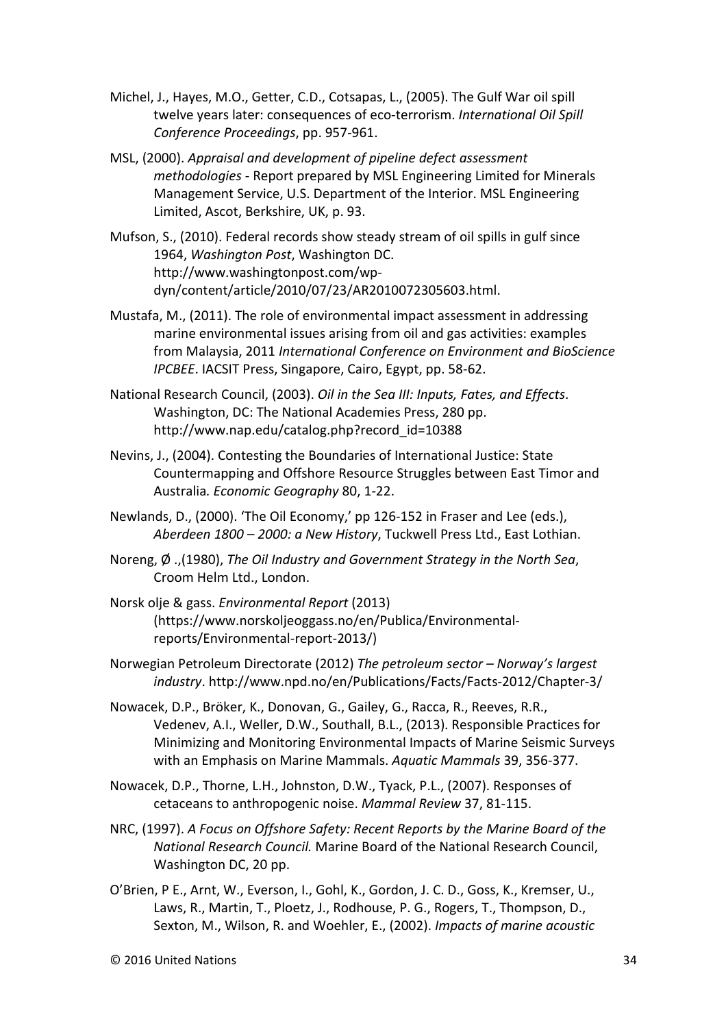- Michel, J., Hayes, M.O., Getter, C.D., Cotsapas, L., (2005). The Gulf War oil spill twelve years later: consequences of eco-terrorism. *International Oil Spill Conference Proceedings*, pp. 957-961.
- MSL, (2000). *Appraisal and development of pipeline defect assessment methodologies* - Report prepared by MSL Engineering Limited for Minerals Management Service, U.S. Department of the Interior. MSL Engineering Limited, Ascot, Berkshire, UK, p. 93.
- Mufson, S., (2010). Federal records show steady stream of oil spills in gulf since 1964, *Washington Post*, Washington DC. http://www.washingtonpost.com/wpdyn/content/article/2010/07/23/AR2010072305603.html.
- Mustafa, M., (2011). The role of environmental impact assessment in addressing marine environmental issues arising from oil and gas activities: examples from Malaysia, 2011 *International Conference on Environment and BioScience IPCBEE*. IACSIT Press, Singapore, Cairo, Egypt, pp. 58-62.
- National Research Council, (2003). *Oil in the Sea III: Inputs, Fates, and Effects*. Washington, DC: The National Academies Press, 280 pp. http://www.nap.edu/catalog.php?record\_id=10388
- Nevins, J., (2004). Contesting the Boundaries of International Justice: State Countermapping and Offshore Resource Struggles between East Timor and Australia*. Economic Geography* 80, 1-22.
- Newlands, D., (2000). 'The Oil Economy,' pp 126-152 in Fraser and Lee (eds.), *Aberdeen 1800 – 2000: a New History*, Tuckwell Press Ltd., East Lothian.
- Noreng, Ø .,(1980), *The Oil Industry and Government Strategy in the North Sea*, Croom Helm Ltd., London.
- Norsk olje & gass. *Environmental Report* (2013) (https://www.norskoljeoggass.no/en/Publica/Environmentalreports/Environmental-report-2013/)
- Norwegian Petroleum Directorate (2012) *The petroleum sector – Norway's largest industry*. http://www.npd.no/en/Publications/Facts/Facts-2012/Chapter-3/
- Nowacek, D.P., Bröker, K., Donovan, G., Gailey, G., Racca, R., Reeves, R.R., Vedenev, A.I., Weller, D.W., Southall, B.L., (2013). Responsible Practices for Minimizing and Monitoring Environmental Impacts of Marine Seismic Surveys with an Emphasis on Marine Mammals. *Aquatic Mammals* 39, 356-377.
- Nowacek, D.P., Thorne, L.H., Johnston, D.W., Tyack, P.L., (2007). Responses of cetaceans to anthropogenic noise. *Mammal Review* 37, 81-115.
- NRC, (1997). *A Focus on Offshore Safety: Recent Reports by the Marine Board of the National Research Council.* Marine Board of the National Research Council, Washington DC, 20 pp.
- O'Brien, P E., Arnt, W., Everson, I., Gohl, K., Gordon, J. C. D., Goss, K., Kremser, U., Laws, R., Martin, T., Ploetz, J., Rodhouse, P. G., Rogers, T., Thompson, D., Sexton, M., Wilson, R. and Woehler, E., (2002). *Impacts of marine acoustic*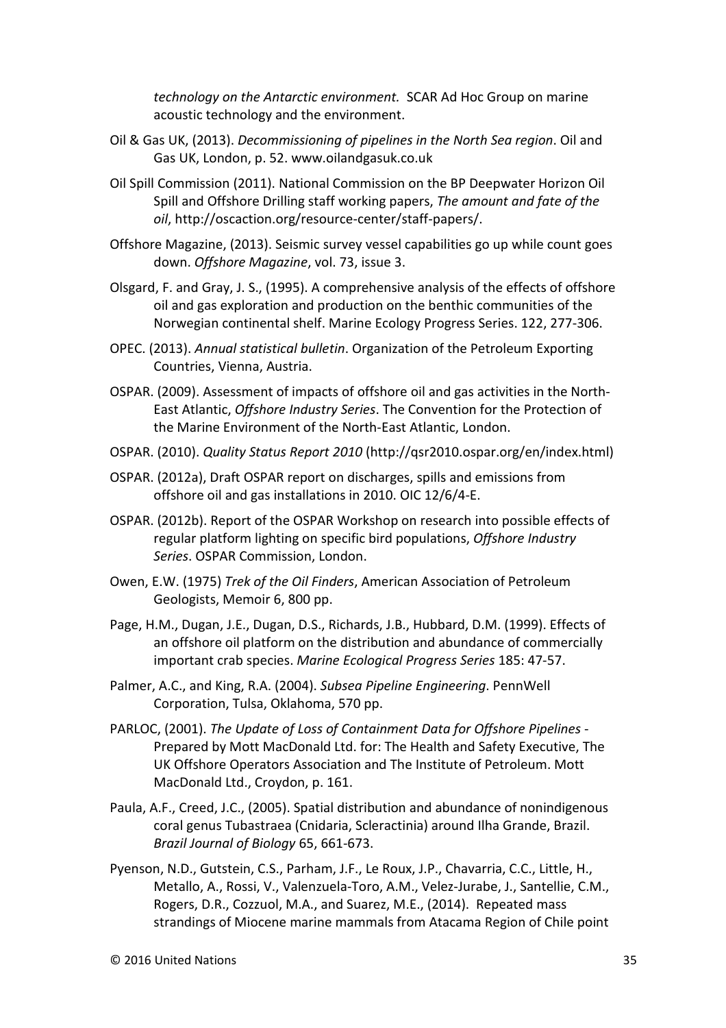*technology on the Antarctic environment.* SCAR Ad Hoc Group on marine acoustic technology and the environment.

- Oil & Gas UK, (2013). *Decommissioning of pipelines in the North Sea region*. Oil and Gas UK, London, p. 52. www.oilandgasuk.co.uk
- Oil Spill Commission (2011). National Commission on the BP Deepwater Horizon Oil Spill and Offshore Drilling staff working papers, *The amount and fate of the oil*, http://oscaction.org/resource-center/staff-papers/.
- Offshore Magazine, (2013). Seismic survey vessel capabilities go up while count goes down. *Offshore Magazine*, vol. 73, issue 3.
- Olsgard, F. and Gray, J. S., (1995). A comprehensive analysis of the effects of offshore oil and gas exploration and production on the benthic communities of the Norwegian continental shelf. Marine Ecology Progress Series. 122, 277-306.
- OPEC. (2013). *Annual statistical bulletin*. Organization of the Petroleum Exporting Countries, Vienna, Austria.
- OSPAR. (2009). Assessment of impacts of offshore oil and gas activities in the North-East Atlantic, *Offshore Industry Series*. The Convention for the Protection of the Marine Environment of the North-East Atlantic, London.
- OSPAR. (2010). *Quality Status Report 2010* (http://qsr2010.ospar.org/en/index.html)
- OSPAR. (2012a), Draft OSPAR report on discharges, spills and emissions from offshore oil and gas installations in 2010. OIC 12/6/4-E.
- OSPAR. (2012b). Report of the OSPAR Workshop on research into possible effects of regular platform lighting on specific bird populations, *Offshore Industry Series*. OSPAR Commission, London.
- Owen, E.W. (1975) *Trek of the Oil Finders*, American Association of Petroleum Geologists, Memoir 6, 800 pp.
- Page, H.M., Dugan, J.E., Dugan, D.S., Richards, J.B., Hubbard, D.M. (1999). Effects of an offshore oil platform on the distribution and abundance of commercially important crab species. *Marine Ecological Progress Series* 185: 47-57.
- Palmer, A.C., and King, R.A. (2004). *Subsea Pipeline Engineering*. PennWell Corporation, Tulsa, Oklahoma, 570 pp.
- PARLOC, (2001). *The Update of Loss of Containment Data for Offshore Pipelines* Prepared by Mott MacDonald Ltd. for: The Health and Safety Executive, The UK Offshore Operators Association and The Institute of Petroleum. Mott MacDonald Ltd., Croydon, p. 161.
- Paula, A.F., Creed, J.C., (2005). Spatial distribution and abundance of nonindigenous coral genus Tubastraea (Cnidaria, Scleractinia) around Ilha Grande, Brazil. *Brazil Journal of Biology* 65, 661-673.
- Pyenson, N.D., Gutstein, C.S., Parham, J.F., Le Roux, J.P., Chavarria, C.C., Little, H., Metallo, A., Rossi, V., Valenzuela-Toro, A.M., Velez-Jurabe, J., Santellie, C.M., Rogers, D.R., Cozzuol, M.A., and Suarez, M.E., (2014). Repeated mass strandings of Miocene marine mammals from Atacama Region of Chile point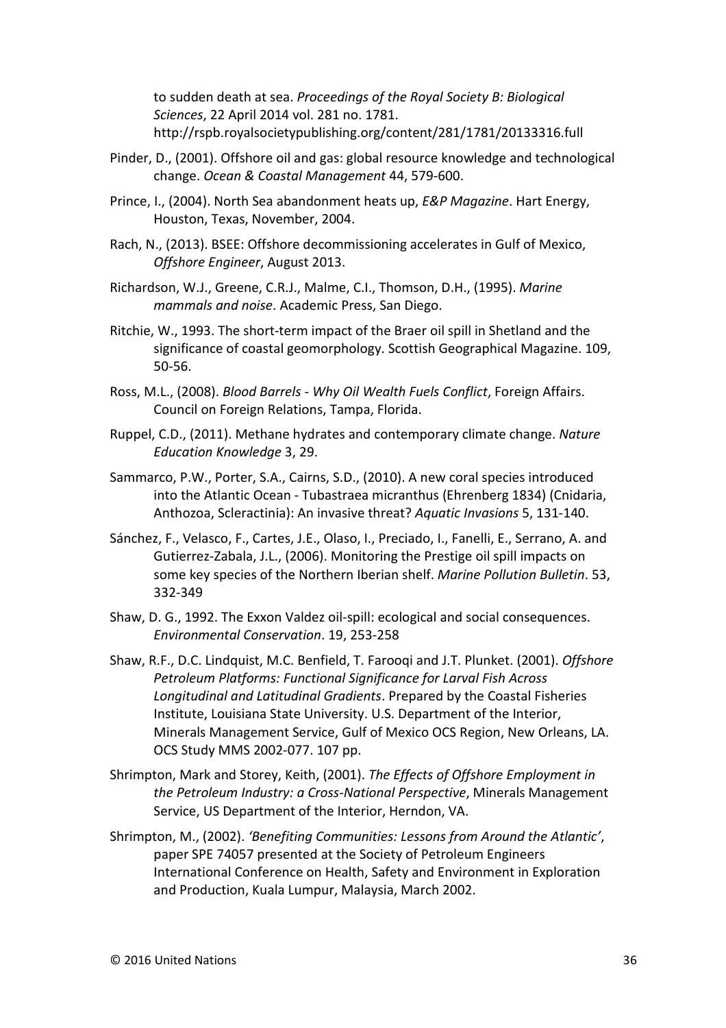to sudden death at sea. *Proceedings of the Royal Society B: Biological Sciences*, 22 April 2014 vol. 281 no. 1781. http://rspb.royalsocietypublishing.org/content/281/1781/20133316.full

- Pinder, D., (2001). Offshore oil and gas: global resource knowledge and technological change. *Ocean & Coastal Management* 44, 579-600.
- Prince, I., (2004). North Sea abandonment heats up, *E&P Magazine*. Hart Energy, Houston, Texas, November, 2004.
- Rach, N., (2013). BSEE: Offshore decommissioning accelerates in Gulf of Mexico, *Offshore Engineer*, August 2013.
- Richardson, W.J., Greene, C.R.J., Malme, C.I., Thomson, D.H., (1995). *Marine mammals and noise*. Academic Press, San Diego.
- Ritchie, W., 1993. The short-term impact of the Braer oil spill in Shetland and the significance of coastal geomorphology. Scottish Geographical Magazine. 109, 50-56.
- Ross, M.L., (2008). *Blood Barrels - Why Oil Wealth Fuels Conflict*, Foreign Affairs. Council on Foreign Relations, Tampa, Florida.
- Ruppel, C.D., (2011). Methane hydrates and contemporary climate change. *Nature Education Knowledge* 3, 29.
- Sammarco, P.W., Porter, S.A., Cairns, S.D., (2010). A new coral species introduced into the Atlantic Ocean - Tubastraea micranthus (Ehrenberg 1834) (Cnidaria, Anthozoa, Scleractinia): An invasive threat? *Aquatic Invasions* 5, 131-140.
- Sánchez, F., Velasco, F., Cartes, J.E., Olaso, I., Preciado, I., Fanelli, E., Serrano, A. and Gutierrez-Zabala, J.L., (2006). Monitoring the Prestige oil spill impacts on some key species of the Northern Iberian shelf. *Marine Pollution Bulletin*. 53, 332-349
- Shaw, D. G., 1992. The Exxon Valdez oil-spill: ecological and social consequences. *Environmental Conservation*. 19, 253-258
- Shaw, R.F., D.C. Lindquist, M.C. Benfield, T. Farooqi and J.T. Plunket. (2001). *Offshore Petroleum Platforms: Functional Significance for Larval Fish Across Longitudinal and Latitudinal Gradients*. Prepared by the Coastal Fisheries Institute, Louisiana State University. U.S. Department of the Interior, Minerals Management Service, Gulf of Mexico OCS Region, New Orleans, LA. OCS Study MMS 2002-077. 107 pp.
- Shrimpton, Mark and Storey, Keith, (2001). *The Effects of Offshore Employment in the Petroleum Industry: a Cross-National Perspective*, Minerals Management Service, US Department of the Interior, Herndon, VA.
- Shrimpton, M., (2002). *'Benefiting Communities: Lessons from Around the Atlantic'*, paper SPE 74057 presented at the Society of Petroleum Engineers International Conference on Health, Safety and Environment in Exploration and Production, Kuala Lumpur, Malaysia, March 2002.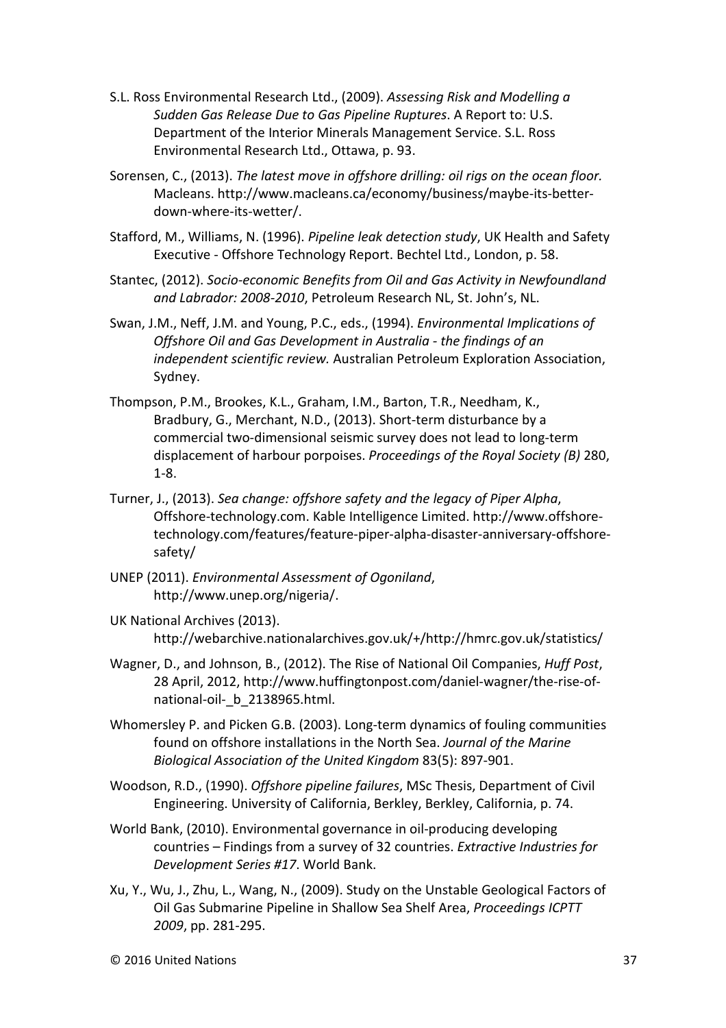- S.L. Ross Environmental Research Ltd., (2009). *Assessing Risk and Modelling a Sudden Gas Release Due to Gas Pipeline Ruptures*. A Report to: U.S. Department of the Interior Minerals Management Service. S.L. Ross Environmental Research Ltd., Ottawa, p. 93.
- Sorensen, C., (2013). *The latest move in offshore drilling: oil rigs on the ocean floor.* Macleans. http://www.macleans.ca/economy/business/maybe-its-betterdown-where-its-wetter/.
- Stafford, M., Williams, N. (1996). *Pipeline leak detection study*, UK Health and Safety Executive - Offshore Technology Report. Bechtel Ltd., London, p. 58.
- Stantec, (2012). *Socio-economic Benefits from Oil and Gas Activity in Newfoundland and Labrador: 2008-2010*, Petroleum Research NL, St. John's, NL.
- Swan, J.M., Neff, J.M. and Young, P.C., eds., (1994). *Environmental Implications of Offshore Oil and Gas Development in Australia - the findings of an independent scientific review.* Australian Petroleum Exploration Association, Sydney.
- Thompson, P.M., Brookes, K.L., Graham, I.M., Barton, T.R., Needham, K., Bradbury, G., Merchant, N.D., (2013). Short-term disturbance by a commercial two-dimensional seismic survey does not lead to long-term displacement of harbour porpoises. *Proceedings of the Royal Society (B)* 280, 1-8.
- Turner, J., (2013). *Sea change: offshore safety and the legacy of Piper Alpha*, Offshore-technology.com. Kable Intelligence Limited. http://www.offshoretechnology.com/features/feature-piper-alpha-disaster-anniversary-offshoresafety/
- UNEP (2011). *Environmental Assessment of Ogoniland*, http://www.unep.org/nigeria/.
- UK National Archives (2013). http://webarchive.nationalarchives.gov.uk/+/http://hmrc.gov.uk/statistics/
- Wagner, D., and Johnson, B., (2012). The Rise of National Oil Companies, *Huff Post*, 28 April, 2012, http://www.huffingtonpost.com/daniel-wagner/the-rise-ofnational-oil-\_b\_2138965.html.
- Whomersley P. and Picken G.B. (2003). Long-term dynamics of fouling communities found on offshore installations in the North Sea. *Journal of the Marine Biological Association of the United Kingdom* 83(5): 897-901.
- Woodson, R.D., (1990). *Offshore pipeline failures*, MSc Thesis, Department of Civil Engineering. University of California, Berkley, Berkley, California, p. 74.
- World Bank, (2010). Environmental governance in oil-producing developing countries – Findings from a survey of 32 countries. *Extractive Industries for Development Series #17*. World Bank.
- Xu, Y., Wu, J., Zhu, L., Wang, N., (2009). Study on the Unstable Geological Factors of Oil Gas Submarine Pipeline in Shallow Sea Shelf Area, *Proceedings ICPTT 2009*, pp. 281-295.